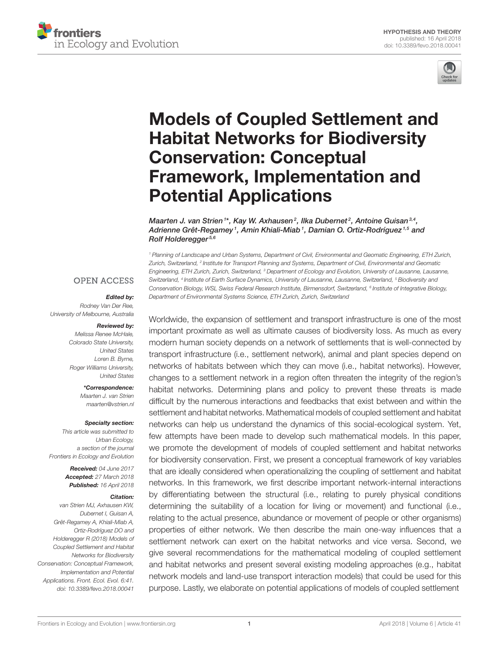



# [Models of Coupled Settlement and](https://www.frontiersin.org/articles/10.3389/fevo.2018.00041/full) Habitat Networks for Biodiversity Conservation: Conceptual Framework, Implementation and Potential Applications

[Maarten J. van Strien](http://loop.frontiersin.org/people/444910/overview) 1\*, Kay W. Axhausen  $^2$ , [Ilka Dubernet](http://loop.frontiersin.org/people/490780/overview)  $^2$ , [Antoine Guisan](http://loop.frontiersin.org/people/75939/overview)  $^{3,4}$ , Adrienne Grêt-Regamey1, Amin Khiali-Miab1, [Damian O. Ortiz-Rodríguez](http://loop.frontiersin.org/people/547095/overview)1,5 and Rolf Holderegger<sup>5,6</sup>

<sup>1</sup> Planning of Landscape and Urban Systems, Department of Civil, Environmental and Geomatic Engineering, ETH Zurich, Zurich, Switzerland, <sup>2</sup> Institute for Transport Planning and Systems, Department of Civil, Environmental and Geomatic Engineering, ETH Zurich, Zurich, Switzerland, <sup>3</sup> Department of Ecology and Evolution, University of Lausanne, Lausanne, Switzerland, <sup>4</sup> Institute of Earth Surface Dynamics, University of Lausanne, Lausanne, Switzerland, <sup>5</sup> Biodiversity and Conservation Biology, WSL Swiss Federal Research Institute, Birmensdorf, Switzerland, <sup>6</sup> Institute of Integrative Biology, Department of Environmental Systems Science, ETH Zurich, Zurich, Switzerland

#### **OPEN ACCESS**

# Edited by:

Rodney Van Der Ree, University of Melbourne, Australia

#### Reviewed by:

Melissa Renee McHale, Colorado State University, United States Loren B. Byrne, Roger Williams University, United States

> \*Correspondence: Maarten J. van Strien [maarten@vstrien.nl](mailto:maarten@vstrien.nl)

#### Specialty section:

This article was submitted to Urban Ecology, a section of the journal Frontiers in Ecology and Evolution

> Received: 04 June 2017 Accepted: 27 March 2018 Published: 16 April 2018

#### Citation:

van Strien MJ, Axhausen KW, Dubernet I, Guisan A, Grêt-Regamey A, Khiali-Miab A, Ortiz-Rodríguez DO and Holderegger R (2018) Models of Coupled Settlement and Habitat Networks for Biodiversity Conservation: Conceptual Framework, Implementation and Potential Applications. Front. Ecol. Evol. 6:41. doi: [10.3389/fevo.2018.00041](https://doi.org/10.3389/fevo.2018.00041)

Worldwide, the expansion of settlement and transport infrastructure is one of the most important proximate as well as ultimate causes of biodiversity loss. As much as every modern human society depends on a network of settlements that is well-connected by transport infrastructure (i.e., settlement network), animal and plant species depend on networks of habitats between which they can move (i.e., habitat networks). However, changes to a settlement network in a region often threaten the integrity of the region's habitat networks. Determining plans and policy to prevent these threats is made difficult by the numerous interactions and feedbacks that exist between and within the settlement and habitat networks. Mathematical models of coupled settlement and habitat networks can help us understand the dynamics of this social-ecological system. Yet, few attempts have been made to develop such mathematical models. In this paper, we promote the development of models of coupled settlement and habitat networks for biodiversity conservation. First, we present a conceptual framework of key variables that are ideally considered when operationalizing the coupling of settlement and habitat networks. In this framework, we first describe important network-internal interactions by differentiating between the structural (i.e., relating to purely physical conditions determining the suitability of a location for living or movement) and functional (i.e., relating to the actual presence, abundance or movement of people or other organisms) properties of either network. We then describe the main one-way influences that a settlement network can exert on the habitat networks and vice versa. Second, we give several recommendations for the mathematical modeling of coupled settlement and habitat networks and present several existing modeling approaches (e.g., habitat network models and land-use transport interaction models) that could be used for this purpose. Lastly, we elaborate on potential applications of models of coupled settlement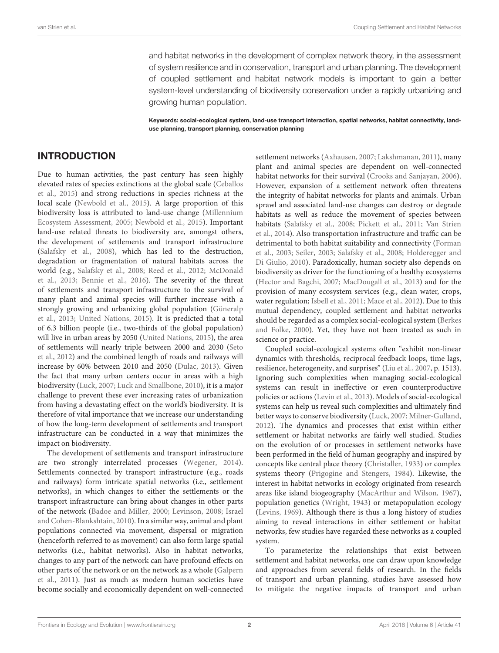and habitat networks in the development of complex network theory, in the assessment of system resilience and in conservation, transport and urban planning. The development of coupled settlement and habitat network models is important to gain a better system-level understanding of biodiversity conservation under a rapidly urbanizing and growing human population.

Keywords: social-ecological system, land-use transport interaction, spatial networks, habitat connectivity, landuse planning, transport planning, conservation planning

# INTRODUCTION

Due to human activities, the past century has seen highly elevated rates of species extinctions at the global scale (Ceballos et al., [2015\)](#page-12-0) and strong reductions in species richness at the local scale [\(Newbold et al., 2015\)](#page-14-0). A large proportion of this biodiversity loss is attributed to land-use change (Millennium Ecosystem Assessment, [2005;](#page-14-1) [Newbold et al., 2015\)](#page-14-0). Important land-use related threats to biodiversity are, amongst others, the development of settlements and transport infrastructure [\(Salafsky et al., 2008\)](#page-14-2), which has led to the destruction, degradation or fragmentation of natural habitats across the world (e.g., [Salafsky et al., 2008;](#page-14-2) [Reed et al., 2012;](#page-14-3) McDonald et al., [2013;](#page-14-4) [Bennie et al., 2016\)](#page-12-1). The severity of the threat of settlements and transport infrastructure to the survival of many plant and animal species will further increase with a strongly growing and urbanizing global population (Güneralp et al., [2013;](#page-13-0) [United Nations, 2015\)](#page-15-0). It is predicted that a total of 6.3 billion people (i.e., two-thirds of the global population) will live in urban areas by 2050 [\(United Nations, 2015\)](#page-15-0), the area of settlements will nearly triple between 2000 and 2030 (Seto et al., [2012\)](#page-15-1) and the combined length of roads and railways will increase by 60% between 2010 and 2050 [\(Dulac, 2013\)](#page-12-2). Given the fact that many urban centers occur in areas with a high biodiversity [\(Luck, 2007;](#page-13-1) [Luck and Smallbone, 2010\)](#page-14-5), it is a major challenge to prevent these ever increasing rates of urbanization from having a devastating effect on the world's biodiversity. It is therefore of vital importance that we increase our understanding of how the long-term development of settlements and transport infrastructure can be conducted in a way that minimizes the impact on biodiversity.

The development of settlements and transport infrastructure are two strongly interrelated processes [\(Wegener, 2014\)](#page-15-2). Settlements connected by transport infrastructure (e.g., roads and railways) form intricate spatial networks (i.e., settlement networks), in which changes to either the settlements or the transport infrastructure can bring about changes in other parts of the network [\(Badoe and Miller, 2000;](#page-11-0) [Levinson, 2008;](#page-13-2) Israel and Cohen-Blankshtain, [2010\)](#page-13-3). In a similar way, animal and plant populations connected via movement, dispersal or migration (henceforth referred to as movement) can also form large spatial networks (i.e., habitat networks). Also in habitat networks, changes to any part of the network can have profound effects on other parts of the network or on the network as a whole (Galpern et al., [2011\)](#page-12-3). Just as much as modern human societies have become socially and economically dependent on well-connected

settlement networks [\(Axhausen, 2007;](#page-11-1) [Lakshmanan, 2011\)](#page-13-4), many plant and animal species are dependent on well-connected habitat networks for their survival [\(Crooks and Sanjayan, 2006\)](#page-12-4). However, expansion of a settlement network often threatens the integrity of habitat networks for plants and animals. Urban sprawl and associated land-use changes can destroy or degrade habitats as well as reduce the movement of species between habitats [\(Salafsky et al., 2008;](#page-14-2) [Pickett et al., 2011;](#page-14-6) Van Strien et al., [2014\)](#page-15-3). Also transportation infrastructure and traffic can be detrimental to both habitat suitability and connectivity (Forman et al., [2003;](#page-12-5) [Seiler, 2003;](#page-15-4) [Salafsky et al., 2008;](#page-14-2) Holderegger and Di Giulio, [2010\)](#page-13-5). Paradoxically, human society also depends on biodiversity as driver for the functioning of a healthy ecosystems [\(Hector and Bagchi, 2007;](#page-13-6) [MacDougall et al., 2013\)](#page-14-7) and for the provision of many ecosystem services (e.g., clean water, crops, water regulation; [Isbell et al., 2011;](#page-13-7) [Mace et al., 2012\)](#page-14-8). Due to this mutual dependency, coupled settlement and habitat networks should be regarded as a complex social-ecological system (Berkes and Folke, [2000\)](#page-12-6). Yet, they have not been treated as such in science or practice.

Coupled social-ecological systems often "exhibit non-linear dynamics with thresholds, reciprocal feedback loops, time lags, resilience, heterogeneity, and surprises" [\(Liu et al., 2007,](#page-13-8) p. 1513). Ignoring such complexities when managing social-ecological systems can result in ineffective or even counterproductive policies or actions [\(Levin et al., 2013\)](#page-13-9). Models of social-ecological systems can help us reveal such complexities and ultimately find better ways to conserve biodiversity [\(Luck, 2007;](#page-13-1) [Milner-Gulland,](#page-14-9) [2012\)](#page-14-9). The dynamics and processes that exist within either settlement or habitat networks are fairly well studied. Studies on the evolution of or processes in settlement networks have been performed in the field of human geography and inspired by concepts like central place theory [\(Christaller, 1933\)](#page-12-7) or complex systems theory [\(Prigogine and Stengers, 1984\)](#page-14-10). Likewise, the interest in habitat networks in ecology originated from research areas like island biogeography [\(MacArthur and Wilson, 1967\)](#page-14-11), population genetics [\(Wright, 1943\)](#page-15-5) or metapopulation ecology [\(Levins, 1969\)](#page-13-10). Although there is thus a long history of studies aiming to reveal interactions in either settlement or habitat networks, few studies have regarded these networks as a coupled system.

To parameterize the relationships that exist between settlement and habitat networks, one can draw upon knowledge and approaches from several fields of research. In the fields of transport and urban planning, studies have assessed how to mitigate the negative impacts of transport and urban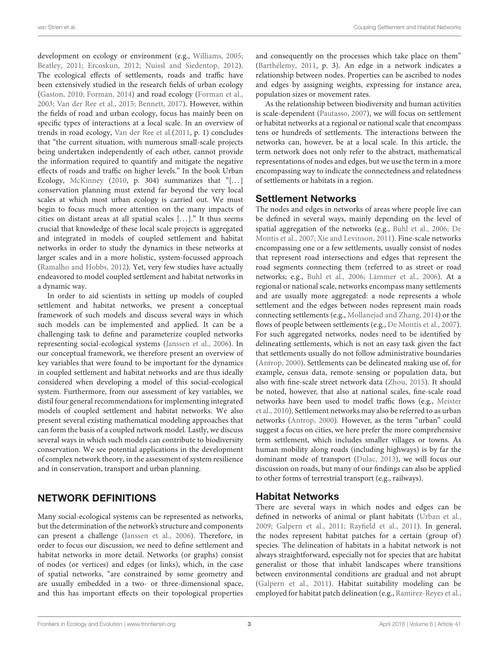development on ecology or environment (e.g., [Williams, 2005;](#page-15-6) [Beatley, 2011;](#page-12-8) [Ercoskun, 2012;](#page-12-9) [Nuissl and Siedentop, 2012\)](#page-14-12). The ecological effects of settlements, roads and traffic have been extensively studied in the research fields of urban ecology [\(Gaston, 2010;](#page-12-10) [Forman, 2014\)](#page-12-11) and road ecology [\(Forman et al.,](#page-12-5) [2003;](#page-12-5) [Van der Ree et al., 2015;](#page-15-7) [Bennett, 2017\)](#page-12-12). However, within the fields of road and urban ecology, focus has mainly been on specific types of interactions at a local scale. In an overview of trends in road ecology, [Van der Ree et al.\(2011,](#page-15-8) p. 1) concludes that "the current situation, with numerous small-scale projects being undertaken independently of each other, cannot provide the information required to quantify and mitigate the negative effects of roads and traffic on higher levels." In the book Urban Ecology, [McKinney](#page-14-13) [\(2010,](#page-14-13) p. 304) summarizes that "[...] conservation planning must extend far beyond the very local scales at which most urban ecology is carried out. We must begin to focus much more attention on the many impacts of cities on distant areas at all spatial scales [...]." It thus seems crucial that knowledge of these local scale projects is aggregated and integrated in models of coupled settlement and habitat networks in order to study the dynamics in these networks at larger scales and in a more holistic, system-focussed approach [\(Ramalho and Hobbs, 2012\)](#page-14-14). Yet, very few studies have actually endeavored to model coupled settlement and habitat networks in a dynamic way.

In order to aid scientists in setting up models of coupled settlement and habitat networks, we present a conceptual framework of such models and discuss several ways in which such models can be implemented and applied. It can be a challenging task to define and parameterize coupled networks representing social-ecological systems [\(Janssen et al., 2006\)](#page-13-11). In our conceptual framework, we therefore present an overview of key variables that were found to be important for the dynamics in coupled settlement and habitat networks and are thus ideally considered when developing a model of this social-ecological system. Furthermore, from our assessment of key variables, we distil four general recommendations for implementing integrated models of coupled settlement and habitat networks. We also present several existing mathematical modeling approaches that can form the basis of a coupled network model. Lastly, we discuss several ways in which such models can contribute to biodiversity conservation. We see potential applications in the development of complex network theory, in the assessment of system resilience and in conservation, transport and urban planning.

### NETWORK DEFINITIONS

Many social-ecological systems can be represented as networks, but the determination of the network's structure and components can present a challenge [\(Janssen et al., 2006\)](#page-13-11). Therefore, in order to focus our discussion, we need to define settlement and habitat networks in more detail. Networks (or graphs) consist of nodes (or vertices) and edges (or links), which, in the case of spatial networks, "are constrained by some geometry and are usually embedded in a two- or three-dimensional space, and this has important effects on their topological properties and consequently on the processes which take place on them" [\(Barthélemy, 2011,](#page-11-2) p. 3). An edge in a network indicates a relationship between nodes. Properties can be ascribed to nodes and edges by assigning weights, expressing for instance area, population sizes or movement rates.

As the relationship between biodiversity and human activities is scale-dependent [\(Pautasso, 2007\)](#page-14-15), we will focus on settlement or habitat networks at a regional or national scale that encompass tens or hundreds of settlements. The interactions between the networks can, however, be at a local scale. In this article, the term network does not only refer to the abstract, mathematical representations of nodes and edges, but we use the term in a more encompassing way to indicate the connectedness and relatedness of settlements or habitats in a region.

#### Settlement Networks

The nodes and edges in networks of areas where people live can be defined in several ways, mainly depending on the level of spatial aggregation of the networks (e.g., [Buhl et al., 2006;](#page-12-13) De Montis et al., [2007;](#page-12-14) [Xie and Levinson, 2011\)](#page-15-9). Fine-scale networks encompassing one or a few settlements, usually consist of nodes that represent road intersections and edges that represent the road segments connecting them (referred to as street or road networks; e.g., [Buhl et al., 2006;](#page-12-13) [Lämmer et al., 2006\)](#page-13-12). At a regional or national scale, networks encompass many settlements and are usually more aggregated: a node represents a whole settlement and the edges between nodes represent main roads connecting settlements (e.g., [Mollanejad and Zhang, 2014\)](#page-14-16) or the flows of people between settlements (e.g., [De Montis et al., 2007\)](#page-12-14). For such aggregated networks, nodes need to be identified by delineating settlements, which is not an easy task given the fact that settlements usually do not follow administrative boundaries [\(Antrop, 2000\)](#page-11-3). Settlements can be delineated making use of, for example, census data, remote sensing or population data, but also with fine-scale street network data [\(Zhou, 2015\)](#page-15-10). It should be noted, however, that also at national scales, fine-scale road networks have been used to model traffic flows (e.g., Meister et al., [2010\)](#page-14-17). Settlement networks may also be referred to as urban networks [\(Antrop, 2000\)](#page-11-3). However, as the term "urban" could suggest a focus on cities, we here prefer the more comprehensive term settlement, which includes smaller villages or towns. As human mobility along roads (including highways) is by far the dominant mode of transport [\(Dulac, 2013\)](#page-12-2), we will focus our discussion on roads, but many of our findings can also be applied to other forms of terrestrial transport (e.g., railways).

# Habitat Networks

There are several ways in which nodes and edges can be defined in networks of animal or plant habitats [\(Urban et al.,](#page-15-11) [2009;](#page-15-11) [Galpern et al., 2011;](#page-12-3) [Rayfield et al., 2011\)](#page-14-18). In general, the nodes represent habitat patches for a certain (group of) species. The delineation of habitats in a habitat network is not always straightforward, especially not for species that are habitat generalist or those that inhabit landscapes where transitions between environmental conditions are gradual and not abrupt [\(Galpern et al., 2011\)](#page-12-3). Habitat suitability modeling can be employed for habitat patch delineation (e.g., [Ramirez-Reyes et al.,](#page-14-19)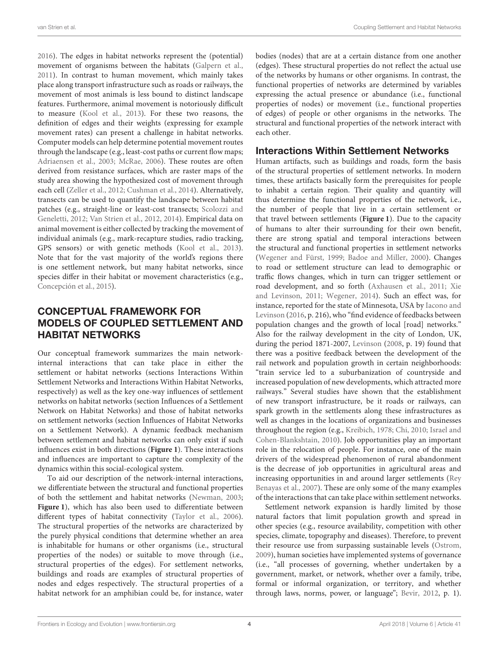[2016\)](#page-14-19). The edges in habitat networks represent the (potential) movement of organisms between the habitats [\(Galpern et al.,](#page-12-3) [2011\)](#page-12-3). In contrast to human movement, which mainly takes place along transport infrastructure such as roads or railways, the movement of most animals is less bound to distinct landscape features. Furthermore, animal movement is notoriously difficult to measure [\(Kool et al., 2013\)](#page-13-13). For these two reasons, the definition of edges and their weights (expressing for example movement rates) can present a challenge in habitat networks. Computer models can help determine potential movement routes through the landscape (e.g., least-cost paths or current flow maps; [Adriaensen et al., 2003;](#page-11-4) [McRae, 2006\)](#page-14-20). These routes are often derived from resistance surfaces, which are raster maps of the study area showing the hypothesized cost of movement through each cell [\(Zeller et al., 2012;](#page-15-12) [Cushman et al., 2014\)](#page-12-15). Alternatively, transects can be used to quantify the landscape between habitat patches (e.g., straight-line or least-cost transects; Scolozzi and Geneletti, [2012;](#page-15-13) [Van Strien et al., 2012,](#page-15-14) [2014\)](#page-15-3). Empirical data on animal movement is either collected by tracking the movement of individual animals (e.g., mark-recapture studies, radio tracking, GPS sensors) or with genetic methods [\(Kool et al., 2013\)](#page-13-13). Note that for the vast majority of the world's regions there is one settlement network, but many habitat networks, since species differ in their habitat or movement characteristics (e.g., [Concepción et al., 2015\)](#page-12-16).

# CONCEPTUAL FRAMEWORK FOR MODELS OF COUPLED SETTLEMENT AND HABITAT NETWORKS

Our conceptual framework summarizes the main networkinternal interactions that can take place in either the settlement or habitat networks (sections Interactions Within Settlement Networks and Interactions Within Habitat Networks, respectively) as well as the key one-way influences of settlement networks on habitat networks (section Influences of a Settlement Network on Habitat Networks) and those of habitat networks on settlement networks (section Influences of Habitat Networks on a Settlement Network). A dynamic feedback mechanism between settlement and habitat networks can only exist if such influences exist in both directions (**[Figure 1](#page-4-0)**). These interactions and influences are important to capture the complexity of the dynamics within this social-ecological system.

To aid our description of the network-internal interactions, we differentiate between the structural and functional properties of both the settlement and habitat networks [\(Newman, 2003;](#page-14-21) **[Figure 1](#page-4-0)**), which has also been used to differentiate between different types of habitat connectivity [\(Taylor et al., 2006\)](#page-15-15). The structural properties of the networks are characterized by the purely physical conditions that determine whether an area is inhabitable for humans or other organisms (i.e., structural properties of the nodes) or suitable to move through (i.e., structural properties of the edges). For settlement networks, buildings and roads are examples of structural properties of nodes and edges respectively. The structural properties of a habitat network for an amphibian could be, for instance, water bodies (nodes) that are at a certain distance from one another (edges). These structural properties do not reflect the actual use of the networks by humans or other organisms. In contrast, the functional properties of networks are determined by variables expressing the actual presence or abundance (i.e., functional properties of nodes) or movement (i.e., functional properties of edges) of people or other organisms in the networks. The structural and functional properties of the network interact with each other.

# Interactions Within Settlement Networks

Human artifacts, such as buildings and roads, form the basis of the structural properties of settlement networks. In modern times, these artifacts basically form the prerequisites for people to inhabit a certain region. Their quality and quantity will thus determine the functional properties of the network, i.e., the number of people that live in a certain settlement or that travel between settlements (**[Figure 1](#page-4-0)**). Due to the capacity of humans to alter their surrounding for their own benefit, there are strong spatial and temporal interactions between the structural and functional properties in settlement networks [\(Wegener and Fürst, 1999;](#page-15-16) [Badoe and Miller, 2000\)](#page-11-0). Changes to road or settlement structure can lead to demographic or traffic flows changes, which in turn can trigger settlement or road development, and so forth [\(Axhausen et al., 2011;](#page-11-5) Xie and Levinson, [2011;](#page-15-9) [Wegener, 2014\)](#page-15-2). Such an effect was, for instance, reported for the state of Minnesota, USA by Iacono and Levinson [\(2016,](#page-13-14) p. 216), who "find evidence of feedbacks between population changes and the growth of local [road] networks." Also for the railway development in the city of London, UK, during the period 1871-2007, [Levinson](#page-13-2) [\(2008,](#page-13-2) p. 19) found that there was a positive feedback between the development of the rail network and population growth in certain neighborhoods: "train service led to a suburbanization of countryside and increased population of new developments, which attracted more railways." Several studies have shown that the establishment of new transport infrastructure, be it roads or railways, can spark growth in the settlements along these infrastructures as well as changes in the locations of organizations and businesses throughout the region (e.g., [Kreibich, 1978;](#page-13-15) [Chi, 2010;](#page-12-17) Israel and Cohen-Blankshtain, [2010\)](#page-13-3). Job opportunities play an important role in the relocation of people. For instance, one of the main drivers of the widespread phenomenon of rural abandonment is the decrease of job opportunities in agricultural areas and increasing opportunities in and around larger settlements (Rey Benayas et al., [2007\)](#page-14-22). These are only some of the many examples of the interactions that can take place within settlement networks.

Settlement network expansion is hardly limited by those natural factors that limit population growth and spread in other species (e.g., resource availability, competition with other species, climate, topography and diseases). Therefore, to prevent their resource use from surpassing sustainable levels [\(Ostrom,](#page-14-23) [2009\)](#page-14-23), human societies have implemented systems of governance (i.e., "all processes of governing, whether undertaken by a government, market, or network, whether over a family, tribe, formal or informal organization, or territory, and whether through laws, norms, power, or language"; [Bevir, 2012,](#page-12-18) p. 1).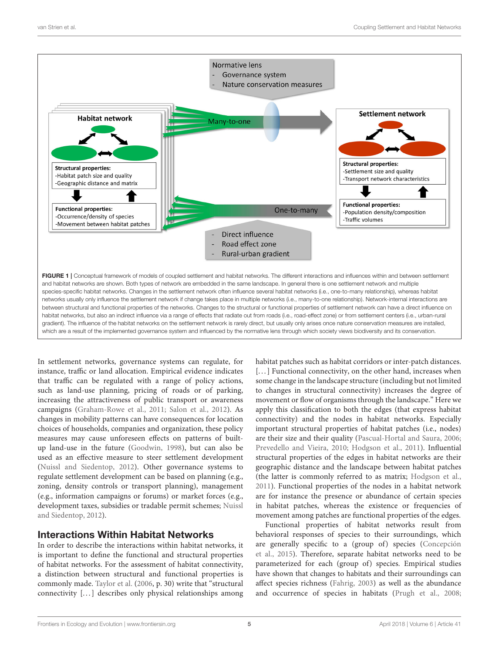

<span id="page-4-0"></span>In settlement networks, governance systems can regulate, for instance, traffic or land allocation. Empirical evidence indicates that traffic can be regulated with a range of policy actions, such as land-use planning, pricing of roads or of parking, increasing the attractiveness of public transport or awareness campaigns [\(Graham-Rowe et al., 2011;](#page-13-16) [Salon et al., 2012\)](#page-15-17). As changes in mobility patterns can have consequences for location choices of households, companies and organization, these policy measures may cause unforeseen effects on patterns of builtup land-use in the future [\(Goodwin, 1998\)](#page-12-19), but can also be used as an effective measure to steer settlement development [\(Nuissl and Siedentop, 2012\)](#page-14-12). Other governance systems to regulate settlement development can be based on planning (e.g., zoning, density controls or transport planning), management (e.g., information campaigns or forums) or market forces (e.g., development taxes, subsidies or tradable permit schemes; Nuissl and Siedentop, [2012\)](#page-14-12).

### Interactions Within Habitat Networks

In order to describe the interactions within habitat networks, it is important to define the functional and structural properties of habitat networks. For the assessment of habitat connectivity, a distinction between structural and functional properties is commonly made. [Taylor et al.](#page-15-15) [\(2006,](#page-15-15) p. 30) write that "structural connectivity [...] describes only physical relationships among habitat patches such as habitat corridors or inter-patch distances. [...] Functional connectivity, on the other hand, increases when some change in the landscape structure (including but not limited to changes in structural connectivity) increases the degree of movement or flow of organisms through the landscape." Here we apply this classification to both the edges (that express habitat connectivity) and the nodes in habitat networks. Especially important structural properties of habitat patches (i.e., nodes) are their size and their quality [\(Pascual-Hortal and Saura, 2006;](#page-14-24) [Prevedello and Vieira, 2010;](#page-14-25) [Hodgson et al., 2011\)](#page-13-17). Influential structural properties of the edges in habitat networks are their geographic distance and the landscape between habitat patches (the latter is commonly referred to as matrix; [Hodgson et al.,](#page-13-17) [2011\)](#page-13-17). Functional properties of the nodes in a habitat network are for instance the presence or abundance of certain species in habitat patches, whereas the existence or frequencies of movement among patches are functional properties of the edges.

Functional properties of habitat networks result from behavioral responses of species to their surroundings, which are generally specific to a (group of) species (Concepción et al., [2015\)](#page-12-16). Therefore, separate habitat networks need to be parameterized for each (group of) species. Empirical studies have shown that changes to habitats and their surroundings can affect species richness [\(Fahrig, 2003\)](#page-12-20) as well as the abundance and occurrence of species in habitats [\(Prugh et al., 2008;](#page-14-26)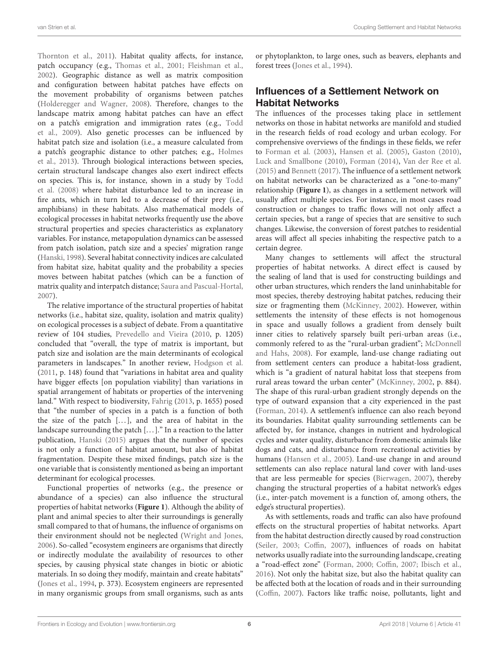[Thornton et al., 2011\)](#page-15-18). Habitat quality affects, for instance, patch occupancy (e.g., [Thomas et al., 2001;](#page-15-19) [Fleishman et al.,](#page-12-21) [2002\)](#page-12-21). Geographic distance as well as matrix composition and configuration between habitat patches have effects on the movement probability of organisms between patches [\(Holderegger and Wagner, 2008\)](#page-13-18). Therefore, changes to the landscape matrix among habitat patches can have an effect on a patch's emigration and immigration rates (e.g., Todd et al., [2009\)](#page-15-20). Also genetic processes can be influenced by habitat patch size and isolation (i.e., a measure calculated from a patch's geographic distance to other patches; e.g., Holmes et al., [2013\)](#page-13-19). Through biological interactions between species, certain structural landscape changes also exert indirect effects on species. This is, for instance, shown in a study by Todd et al. [\(2008\)](#page-15-21) where habitat disturbance led to an increase in fire ants, which in turn led to a decrease of their prey (i.e., amphibians) in these habitats. Also mathematical models of ecological processes in habitat networks frequently use the above structural properties and species characteristics as explanatory variables. For instance, metapopulation dynamics can be assessed from patch isolation, patch size and a species' migration range [\(Hanski, 1998\)](#page-13-20). Several habitat connectivity indices are calculated from habitat size, habitat quality and the probability a species moves between habitat patches (which can be a function of matrix quality and interpatch distance; [Saura and Pascual-Hortal,](#page-15-22) [2007\)](#page-15-22).

The relative importance of the structural properties of habitat networks (i.e., habitat size, quality, isolation and matrix quality) on ecological processes is a subject of debate. From a quantitative review of 104 studies, [Prevedello and Vieira](#page-14-25) [\(2010,](#page-14-25) p. 1205) concluded that "overall, the type of matrix is important, but patch size and isolation are the main determinants of ecological parameters in landscapes." In another review, [Hodgson et al.](#page-13-17) [\(2011,](#page-13-17) p. 148) found that "variations in habitat area and quality have bigger effects [on population viability] than variations in spatial arrangement of habitats or properties of the intervening land." With respect to biodiversity, [Fahrig](#page-12-22) [\(2013,](#page-12-22) p. 1655) posed that "the number of species in a patch is a function of both the size of the patch  $[...]$ , and the area of habitat in the landscape surrounding the patch  $[...]$ ." In a reaction to the latter publication, [Hanski \(2015\)](#page-13-21) argues that the number of species is not only a function of habitat amount, but also of habitat fragmentation. Despite these mixed findings, patch size is the one variable that is consistently mentioned as being an important determinant for ecological processes.

Functional properties of networks (e.g., the presence or abundance of a species) can also influence the structural properties of habitat networks (**[Figure 1](#page-4-0)**). Although the ability of plant and animal species to alter their surroundings is generally small compared to that of humans, the influence of organisms on their environment should not be neglected [\(Wright and Jones,](#page-15-23) [2006\)](#page-15-23). So-called "ecosystem engineers are organisms that directly or indirectly modulate the availability of resources to other species, by causing physical state changes in biotic or abiotic materials. In so doing they modify, maintain and create habitats" [\(Jones et al., 1994,](#page-13-22) p. 373). Ecosystem engineers are represented in many organismic groups from small organisms, such as ants or phytoplankton, to large ones, such as beavers, elephants and forest trees [\(Jones et al., 1994\)](#page-13-22).

# Influences of a Settlement Network on Habitat Networks

The influences of the processes taking place in settlement networks on those in habitat networks are manifold and studied in the research fields of road ecology and urban ecology. For comprehensive overviews of the findings in these fields, we refer to [Forman et al. \(2003\)](#page-12-5), [Hansen et al. \(2005\)](#page-13-23), [Gaston \(2010\)](#page-12-10), [Luck and Smallbone \(2010\)](#page-14-5), [Forman \(2014\)](#page-12-11), [Van der Ree et al.](#page-15-7) [\(2015\)](#page-15-7) and [Bennett \(2017\)](#page-12-12). The influence of a settlement network on habitat networks can be characterized as a "one-to-many" relationship (**[Figure 1](#page-4-0)**), as changes in a settlement network will usually affect multiple species. For instance, in most cases road construction or changes to traffic flows will not only affect a certain species, but a range of species that are sensitive to such changes. Likewise, the conversion of forest patches to residential areas will affect all species inhabiting the respective patch to a certain degree.

Many changes to settlements will affect the structural properties of habitat networks. A direct effect is caused by the sealing of land that is used for constructing buildings and other urban structures, which renders the land uninhabitable for most species, thereby destroying habitat patches, reducing their size or fragmenting them [\(McKinney, 2002\)](#page-14-27). However, within settlements the intensity of these effects is not homogenous in space and usually follows a gradient from densely built inner cities to relatively sparsely built peri-urban areas (i.e., commonly refered to as the "rural-urban gradient"; McDonnell and Hahs, [2008\)](#page-14-28). For example, land-use change radiating out from settlement centers can produce a habitat-loss gradient, which is "a gradient of natural habitat loss that steepens from rural areas toward the urban center" [\(McKinney, 2002,](#page-14-27) p. 884). The shape of this rural-urban gradient strongly depends on the type of outward expansion that a city experienced in the past [\(Forman, 2014\)](#page-12-11). A settlement's influence can also reach beyond its boundaries. Habitat quality surrounding settlements can be affected by, for instance, changes in nutrient and hydrological cycles and water quality, disturbance from domestic animals like dogs and cats, and disturbance from recreational activities by humans [\(Hansen et al., 2005\)](#page-13-23). Land-use change in and around settlements can also replace natural land cover with land-uses that are less permeable for species [\(Bierwagen, 2007\)](#page-12-23), thereby changing the structural properties of a habitat network's edges (i.e., inter-patch movement is a function of, among others, the edge's structural properties).

As with settlements, roads and traffic can also have profound effects on the structural properties of habitat networks. Apart from the habitat destruction directly caused by road construction [\(Seiler, 2003;](#page-15-4) [Coffin, 2007\)](#page-12-24), influences of roads on habitat networks usually radiate into the surrounding landscape, creating a "road-effect zone" [\(Forman, 2000;](#page-12-25) [Coffin, 2007;](#page-12-24) [Ibisch et al.,](#page-13-24) [2016\)](#page-13-24). Not only the habitat size, but also the habitat quality can be affected both at the location of roads and in their surrounding [\(Coffin, 2007\)](#page-12-24). Factors like traffic noise, pollutants, light and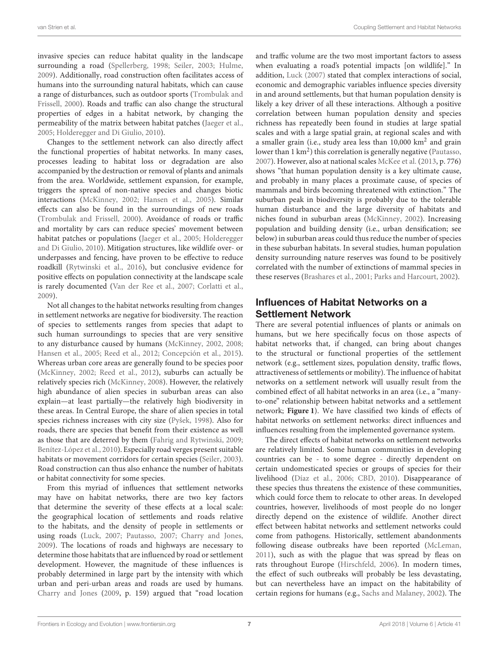invasive species can reduce habitat quality in the landscape surrounding a road [\(Spellerberg, 1998;](#page-15-24) [Seiler, 2003;](#page-15-4) [Hulme,](#page-13-25) [2009\)](#page-13-25). Additionally, road construction often facilitates access of humans into the surrounding natural habitats, which can cause a range of disturbances, such as outdoor sports (Trombulak and Frissell, [2000\)](#page-15-25). Roads and traffic can also change the structural properties of edges in a habitat network, by changing the permeability of the matrix between habitat patches [\(Jaeger et al.,](#page-13-26) [2005;](#page-13-26) [Holderegger and Di Giulio, 2010\)](#page-13-5).

Changes to the settlement network can also directly affect the functional properties of habitat networks. In many cases, processes leading to habitat loss or degradation are also accompanied by the destruction or removal of plants and animals from the area. Worldwide, settlement expansion, for example, triggers the spread of non-native species and changes biotic interactions [\(McKinney, 2002;](#page-14-27) [Hansen et al., 2005\)](#page-13-23). Similar effects can also be found in the surroundings of new roads [\(Trombulak and Frissell, 2000\)](#page-15-25). Avoidance of roads or traffic and mortality by cars can reduce species' movement between habitat patches or populations [\(Jaeger et al., 2005;](#page-13-26) Holderegger and Di Giulio, [2010\)](#page-13-5). Mitigation structures, like wildlife over- or underpasses and fencing, have proven to be effective to reduce roadkill [\(Rytwinski et al., 2016\)](#page-14-29), but conclusive evidence for positive effects on population connectivity at the landscape scale is rarely documented [\(Van der Ree et al., 2007;](#page-15-26) [Corlatti et al.,](#page-12-26) [2009\)](#page-12-26).

Not all changes to the habitat networks resulting from changes in settlement networks are negative for biodiversity. The reaction of species to settlements ranges from species that adapt to such human surroundings to species that are very sensitive to any disturbance caused by humans [\(McKinney, 2002,](#page-14-27) [2008;](#page-14-30) [Hansen et al., 2005;](#page-13-23) [Reed et al., 2012;](#page-14-3) [Concepción et al., 2015\)](#page-12-16). Whereas urban core areas are generally found to be species poor [\(McKinney, 2002;](#page-14-27) [Reed et al., 2012\)](#page-14-3), suburbs can actually be relatively species rich [\(McKinney, 2008\)](#page-14-30). However, the relatively high abundance of alien species in suburban areas can also explain—at least partially—the relatively high biodiversity in these areas. In Central Europe, the share of alien species in total species richness increases with city size [\(Pyšek, 1998\)](#page-14-31). Also for roads, there are species that benefit from their existence as well as those that are deterred by them [\(Fahrig and Rytwinski, 2009;](#page-12-27) [Benítez-López et al., 2010\)](#page-12-28). Especially road verges present suitable habitats or movement corridors for certain species [\(Seiler, 2003\)](#page-15-4). Road construction can thus also enhance the number of habitats or habitat connectivity for some species.

From this myriad of influences that settlement networks may have on habitat networks, there are two key factors that determine the severity of these effects at a local scale: the geographical location of settlements and roads relative to the habitats, and the density of people in settlements or using roads [\(Luck, 2007;](#page-13-1) [Pautasso, 2007;](#page-14-15) [Charry and Jones,](#page-12-29) [2009\)](#page-12-29). The locations of roads and highways are necessary to determine those habitats that are influenced by road or settlement development. However, the magnitude of these influences is probably determined in large part by the intensity with which urban and peri-urban areas and roads are used by humans. [Charry and Jones](#page-12-29) [\(2009,](#page-12-29) p. 159) argued that "road location and traffic volume are the two most important factors to assess when evaluating a road's potential impacts [on wildlife]." In addition, [Luck \(2007\)](#page-13-1) stated that complex interactions of social, economic and demographic variables influence species diversity in and around settlements, but that human population density is likely a key driver of all these interactions. Although a positive correlation between human population density and species richness has repeatedly been found in studies at large spatial scales and with a large spatial grain, at regional scales and with a smaller grain (i.e., study area less than 10,000 km<sup>2</sup> and grain lower than  $1 \text{ km}^2$ ) this correlation is generally negative [\(Pautasso,](#page-14-15) [2007\)](#page-14-15). However, also at national scales [McKee et al.](#page-14-32) [\(2013,](#page-14-32) p. 776) shows "that human population density is a key ultimate cause, and probably in many places a proximate cause, of species of mammals and birds becoming threatened with extinction." The suburban peak in biodiversity is probably due to the tolerable human disturbance and the large diversity of habitats and niches found in suburban areas [\(McKinney, 2002\)](#page-14-27). Increasing population and building density (i.e., urban densification; see below) in suburban areas could thus reduce the number of species in these suburban habitats. In several studies, human population density surrounding nature reserves was found to be positively correlated with the number of extinctions of mammal species in these reserves [\(Brashares et al., 2001;](#page-12-30) [Parks and Harcourt, 2002\)](#page-14-33).

# Influences of Habitat Networks on a Settlement Network

There are several potential influences of plants or animals on humans, but we here specifically focus on those aspects of habitat networks that, if changed, can bring about changes to the structural or functional properties of the settlement network (e.g., settlement sizes, population density, traffic flows, attractiveness of settlements or mobility). The influence of habitat networks on a settlement network will usually result from the combined effect of all habitat networks in an area (i.e., a "manyto-one" relationship between habitat networks and a settlement network; **[Figure 1](#page-4-0)**). We have classified two kinds of effects of habitat networks on settlement networks: direct influences and influences resulting from the implemented governance system.

The direct effects of habitat networks on settlement networks are relatively limited. Some human communities in developing countries can be - to some degree - directly dependent on certain undomesticated species or groups of species for their livelihood [\(Díaz et al., 2006;](#page-12-31) [CBD, 2010\)](#page-12-32). Disappearance of these species thus threatens the existence of these communities, which could force them to relocate to other areas. In developed countries, however, livelihoods of most people do no longer directly depend on the existence of wildlife. Another direct effect between habitat networks and settlement networks could come from pathogens. Historically, settlement abandonments following disease outbreaks have been reported [\(McLeman,](#page-14-34) [2011\)](#page-14-34), such as with the plague that was spread by fleas on rats throughout Europe [\(Hirschfeld, 2006\)](#page-13-27). In modern times, the effect of such outbreaks will probably be less devastating, but can nevertheless have an impact on the habitability of certain regions for humans (e.g., [Sachs and Malaney, 2002\)](#page-14-35). The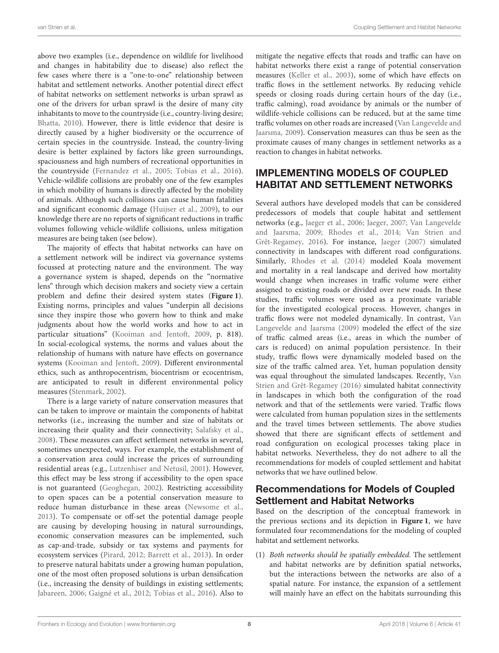above two examples (i.e., dependence on wildlife for livelihood and changes in habitability due to disease) also reflect the few cases where there is a "one-to-one" relationship between habitat and settlement networks. Another potential direct effect of habitat networks on settlement networks is urban sprawl as one of the drivers for urban sprawl is the desire of many city inhabitants to move to the countryside (i.e., country-living desire; [Bhatta, 2010\)](#page-12-33). However, there is little evidence that desire is directly caused by a higher biodiversity or the occurrence of certain species in the countryside. Instead, the country-living desire is better explained by factors like green surroundings, spaciousness and high numbers of recreational opportunities in the countryside [\(Fernandez et al., 2005;](#page-12-34) [Tobias et al., 2016\)](#page-15-27). Vehicle-wildlife collisions are probably one of the few examples in which mobility of humans is directly affected by the mobility of animals. Although such collisions can cause human fatalities and significant economic damage [\(Huijser et al., 2009\)](#page-13-28), to our knowledge there are no reports of significant reductions in traffic volumes following vehicle-wildlife collisions, unless mitigation measures are being taken (see below).

The majority of effects that habitat networks can have on a settlement network will be indirect via governance systems focussed at protecting nature and the environment. The way a governance system is shaped, depends on the "normative lens" through which decision makers and society view a certain problem and define their desired system states (**[Figure 1](#page-4-0)**). Existing norms, principles and values "underpin all decisions since they inspire those who govern how to think and make judgments about how the world works and how to act in particular situations" [\(Kooiman and Jentoft, 2009,](#page-13-29) p. 818). In social-ecological systems, the norms and values about the relationship of humans with nature have effects on governance systems [\(Kooiman and Jentoft, 2009\)](#page-13-29). Different environmental ethics, such as anthropocentrism, biocentrism or ecocentrism, are anticipated to result in different environmental policy measures [\(Stenmark, 2002\)](#page-15-28).

There is a large variety of nature conservation measures that can be taken to improve or maintain the components of habitat networks (i.e., increasing the number and size of habitats or increasing their quality and their connectivity; [Salafsky et al.,](#page-14-2) [2008\)](#page-14-2). These measures can affect settlement networks in several, sometimes unexpected, ways. For example, the establishment of a conservation area could increase the prices of surrounding residential areas (e.g., [Lutzenhiser and Netusil, 2001\)](#page-14-36). However, this effect may be less strong if accessibility to the open space is not guaranteed [\(Geoghegan, 2002\)](#page-12-35). Restricting accessibility to open spaces can be a potential conservation measure to reduce human disturbance in these areas [\(Newsome et al.,](#page-14-37) [2013\)](#page-14-37). To compensate or off-set the potential damage people are causing by developing housing in natural surroundings, economic conservation measures can be implemented, such as cap-and-trade, subsidy or tax systems and payments for ecosystem services [\(Pirard, 2012;](#page-14-38) [Barrett et al., 2013\)](#page-11-6). In order to preserve natural habitats under a growing human population, one of the most often proposed solutions is urban densification (i.e., increasing the density of buildings in existing settlements; [Jabareen, 2006;](#page-13-30) [Gaigné et al., 2012;](#page-12-36) [Tobias et al., 2016\)](#page-15-27). Also to mitigate the negative effects that roads and traffic can have on habitat networks there exist a range of potential conservation measures [\(Keller et al., 2003\)](#page-13-31), some of which have effects on traffic flows in the settlement networks. By reducing vehicle speeds or closing roads during certain hours of the day (i.e., traffic calming), road avoidance by animals or the number of wildlife-vehicle collisions can be reduced, but at the same time traffic volumes on other roads are increased (Van Langevelde and Jaarsma, [2009\)](#page-15-29). Conservation measures can thus be seen as the proximate causes of many changes in settlement networks as a reaction to changes in habitat networks.

# IMPLEMENTING MODELS OF COUPLED HABITAT AND SETTLEMENT NETWORKS

Several authors have developed models that can be considered predecessors of models that couple habitat and settlement networks (e.g., [Jaeger et al., 2006;](#page-13-32) [Jaeger, 2007;](#page-13-33) Van Langevelde and Jaarsma, [2009;](#page-15-29) [Rhodes et al., 2014;](#page-14-39) Van Strien and Grêt-Regamey, [2016\)](#page-15-30). For instance, [Jaeger \(2007\)](#page-13-33) simulated connectivity in landscapes with different road configurations. Similarly, [Rhodes et al. \(2014\)](#page-14-39) modeled Koala movement and mortality in a real landscape and derived how mortality would change when increases in traffic volume were either assigned to existing roads or divided over new roads. In these studies, traffic volumes were used as a proximate variable for the investigated ecological process. However, changes in traffic flows were not modeled dynamically. In contrast, Van Langevelde and Jaarsma [\(2009\)](#page-15-29) modeled the effect of the size of traffic calmed areas (i.e., areas in which the number of cars is reduced) on animal population persistence. In their study, traffic flows were dynamically modeled based on the size of the traffic calmed area. Yet, human population density was equal throughout the simulated landscapes. Recently, Van Strien and Grêt-Regamey [\(2016\)](#page-15-30) simulated habitat connectivity in landscapes in which both the configuration of the road network and that of the settlements were varied. Traffic flows were calculated from human population sizes in the settlements and the travel times between settlements. The above studies showed that there are significant effects of settlement and road configuration on ecological processes taking place in habitat networks. Nevertheless, they do not adhere to all the recommendations for models of coupled settlement and habitat networks that we have outlined below.

# Recommendations for Models of Coupled Settlement and Habitat Networks

Based on the description of the conceptual framework in the previous sections and its depiction in **[Figure 1](#page-4-0)**, we have formulated four recommendations for the modeling of coupled habitat and settlement networks.

(1) Both networks should be spatially embedded. The settlement and habitat networks are by definition spatial networks, but the interactions between the networks are also of a spatial nature. For instance, the expansion of a settlement will mainly have an effect on the habitats surrounding this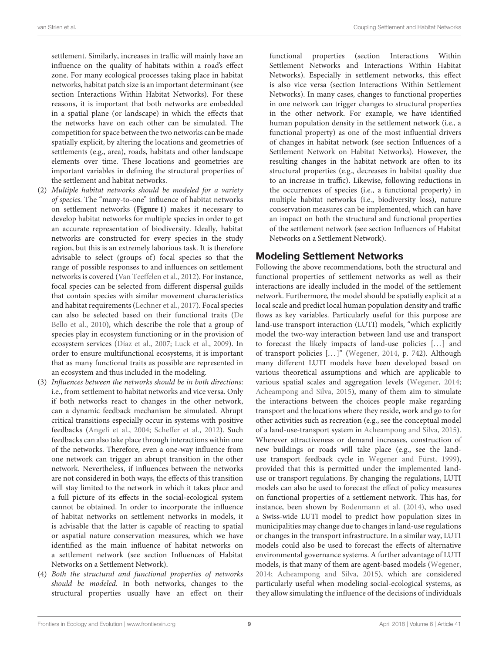settlement. Similarly, increases in traffic will mainly have an influence on the quality of habitats within a road's effect zone. For many ecological processes taking place in habitat networks, habitat patch size is an important determinant (see section Interactions Within Habitat Networks). For these reasons, it is important that both networks are embedded in a spatial plane (or landscape) in which the effects that the networks have on each other can be simulated. The competition for space between the two networks can be made spatially explicit, by altering the locations and geometries of settlements (e.g., area), roads, habitats and other landscape elements over time. These locations and geometries are important variables in defining the structural properties of the settlement and habitat networks.

- (2) Multiple habitat networks should be modeled for a variety of species. The "many-to-one" influence of habitat networks on settlement networks (**[Figure 1](#page-4-0)**) makes it necessary to develop habitat networks for multiple species in order to get an accurate representation of biodiversity. Ideally, habitat networks are constructed for every species in the study region, but this is an extremely laborious task. It is therefore advisable to select (groups of) focal species so that the range of possible responses to and influences on settlement networks is covered [\(Van Teeffelen et al., 2012\)](#page-15-31). For instance, focal species can be selected from different dispersal guilds that contain species with similar movement characteristics and habitat requirements [\(Lechner et al., 2017\)](#page-13-34). Focal species can also be selected based on their functional traits (De Bello et al., [2010\)](#page-12-37), which describe the role that a group of species play in ecosystem functioning or in the provision of ecosystem services [\(Díaz et al., 2007;](#page-12-38) [Luck et al., 2009\)](#page-14-40). In order to ensure multifunctional ecosystems, it is important that as many functional traits as possible are represented in an ecosystem and thus included in the modeling.
- (3) Influences between the networks should be in both directions: i.e., from settlement to habitat networks and vice versa. Only if both networks react to changes in the other network, can a dynamic feedback mechanism be simulated. Abrupt critical transitions especially occur in systems with positive feedbacks [\(Angeli et al., 2004;](#page-11-7) [Scheffer et al., 2012\)](#page-15-32). Such feedbacks can also take place through interactions within one of the networks. Therefore, even a one-way influence from one network can trigger an abrupt transition in the other network. Nevertheless, if influences between the networks are not considered in both ways, the effects of this transition will stay limited to the network in which it takes place and a full picture of its effects in the social-ecological system cannot be obtained. In order to incorporate the influence of habitat networks on settlement networks in models, it is advisable that the latter is capable of reacting to spatial or aspatial nature conservation measures, which we have identified as the main influence of habitat networks on a settlement network (see section Influences of Habitat Networks on a Settlement Network).
- (4) Both the structural and functional properties of networks should be modeled. In both networks, changes to the structural properties usually have an effect on their

functional properties (section Interactions Within Settlement Networks and Interactions Within Habitat Networks). Especially in settlement networks, this effect is also vice versa (section Interactions Within Settlement Networks). In many cases, changes to functional properties in one network can trigger changes to structural properties in the other network. For example, we have identified human population density in the settlement network (i.e., a functional property) as one of the most influential drivers of changes in habitat network (see section Influences of a Settlement Network on Habitat Networks). However, the resulting changes in the habitat network are often to its structural properties (e.g., decreases in habitat quality due to an increase in traffic). Likewise, following reductions in the occurrences of species (i.e., a functional property) in multiple habitat networks (i.e., biodiversity loss), nature conservation measures can be implemented, which can have an impact on both the structural and functional properties of the settlement network (see section Influences of Habitat Networks on a Settlement Network).

### Modeling Settlement Networks

Following the above recommendations, both the structural and functional properties of settlement networks as well as their interactions are ideally included in the model of the settlement network. Furthermore, the model should be spatially explicit at a local scale and predict local human population density and traffic flows as key variables. Particularly useful for this purpose are land-use transport interaction (LUTI) models, "which explicitly model the two-way interaction between land use and transport to forecast the likely impacts of land-use policies [...] and of transport policies [...]" [\(Wegener, 2014,](#page-15-2) p. 742). Although many different LUTI models have been developed based on various theoretical assumptions and which are applicable to various spatial scales and aggregation levels [\(Wegener, 2014;](#page-15-2) [Acheampong and Silva, 2015\)](#page-11-8), many of them aim to simulate the interactions between the choices people make regarding transport and the locations where they reside, work and go to for other activities such as recreation (e.g., see the conceptual model of a land-use-transport system in [Acheampong and Silva, 2015\)](#page-11-8). Wherever attractiveness or demand increases, construction of new buildings or roads will take place (e.g., see the landuse transport feedback cycle in [Wegener and Fürst, 1999\)](#page-15-16), provided that this is permitted under the implemented landuse or transport regulations. By changing the regulations, LUTI models can also be used to forecast the effect of policy measures on functional properties of a settlement network. This has, for instance, been shown by [Bodenmann et al. \(2014\)](#page-12-39), who used a Swiss-wide LUTI model to predict how population sizes in municipalities may change due to changes in land-use regulations or changes in the transport infrastructure. In a similar way, LUTI models could also be used to forecast the effects of alternative environmental governance systems. A further advantage of LUTI models, is that many of them are agent-based models [\(Wegener,](#page-15-2) [2014;](#page-15-2) [Acheampong and Silva, 2015\)](#page-11-8), which are considered particularly useful when modeling social-ecological systems, as they allow simulating the influence of the decisions of individuals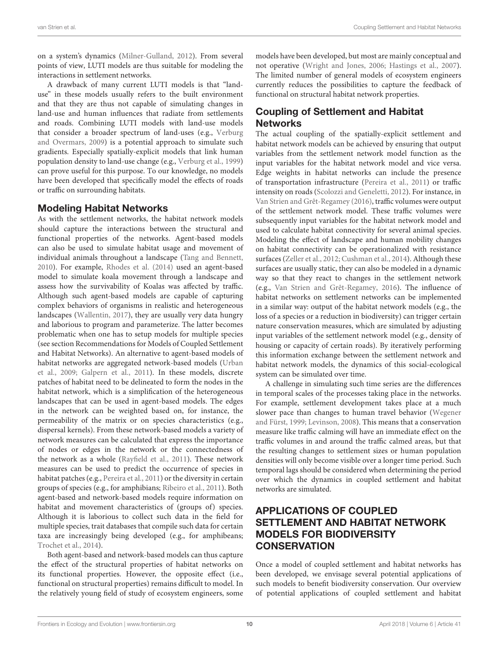on a system's dynamics [\(Milner-Gulland, 2012\)](#page-14-9). From several points of view, LUTI models are thus suitable for modeling the interactions in settlement networks.

A drawback of many current LUTI models is that "landuse" in these models usually refers to the built environment and that they are thus not capable of simulating changes in land-use and human influences that radiate from settlements and roads. Combining LUTI models with land-use models that consider a broader spectrum of land-uses (e.g., Verburg and Overmars, [2009\)](#page-15-33) is a potential approach to simulate such gradients. Especially spatially-explicit models that link human population density to land-use change (e.g., [Verburg et al., 1999\)](#page-15-34) can prove useful for this purpose. To our knowledge, no models have been developed that specifically model the effects of roads or traffic on surrounding habitats.

#### Modeling Habitat Networks

As with the settlement networks, the habitat network models should capture the interactions between the structural and functional properties of the networks. Agent-based models can also be used to simulate habitat usage and movement of individual animals throughout a landscape [\(Tang and Bennett,](#page-15-35) [2010\)](#page-15-35). For example, [Rhodes et al. \(2014\)](#page-14-39) used an agent-based model to simulate koala movement through a landscape and assess how the survivability of Koalas was affected by traffic. Although such agent-based models are capable of capturing complex behaviors of organisms in realistic and heterogeneous landscapes [\(Wallentin, 2017\)](#page-15-36), they are usually very data hungry and laborious to program and parameterize. The latter becomes problematic when one has to setup models for multiple species (see section Recommendations for Models of Coupled Settlement and Habitat Networks). An alternative to agent-based models of habitat networks are aggregated network-based models (Urban et al., [2009;](#page-15-11) [Galpern et al., 2011\)](#page-12-3). In these models, discrete patches of habitat need to be delineated to form the nodes in the habitat network, which is a simplification of the heterogeneous landscapes that can be used in agent-based models. The edges in the network can be weighted based on, for instance, the permeability of the matrix or on species characteristics (e.g., dispersal kernels). From these network-based models a variety of network measures can be calculated that express the importance of nodes or edges in the network or the connectedness of the network as a whole [\(Rayfield et al., 2011\)](#page-14-18). These network measures can be used to predict the occurrence of species in habitat patches (e.g., [Pereira et al., 2011\)](#page-14-41) or the diversity in certain groups of species (e.g., for amphibians; [Ribeiro et al., 2011\)](#page-14-42). Both agent-based and network-based models require information on habitat and movement characteristics of (groups of) species. Although it is laborious to collect such data in the field for multiple species, trait databases that compile such data for certain taxa are increasingly being developed (e.g., for amphibeans; [Trochet et al., 2014\)](#page-15-37).

Both agent-based and network-based models can thus capture the effect of the structural properties of habitat networks on its functional properties. However, the opposite effect (i.e., functional on structural properties) remains difficult to model. In the relatively young field of study of ecosystem engineers, some models have been developed, but most are mainly conceptual and not operative [\(Wright and Jones, 2006;](#page-15-23) [Hastings et al., 2007\)](#page-13-35). The limited number of general models of ecosystem engineers currently reduces the possibilities to capture the feedback of functional on structural habitat network properties.

# Coupling of Settlement and Habitat **Networks**

The actual coupling of the spatially-explicit settlement and habitat network models can be achieved by ensuring that output variables from the settlement network model function as the input variables for the habitat network model and vice versa. Edge weights in habitat networks can include the presence of transportation infrastructure [\(Pereira et al., 2011\)](#page-14-41) or traffic intensity on roads [\(Scolozzi and Geneletti, 2012\)](#page-15-13). For instance, in [Van Strien and Grêt-Regamey \(2016\)](#page-15-30), traffic volumes were output of the settlement network model. These traffic volumes were subsequently input variables for the habitat network model and used to calculate habitat connectivity for several animal species. Modeling the effect of landscape and human mobility changes on habitat connectivity can be operationalized with resistance surfaces [\(Zeller et al., 2012;](#page-15-12) [Cushman et al., 2014\)](#page-12-15). Although these surfaces are usually static, they can also be modeled in a dynamic way so that they react to changes in the settlement network (e.g., [Van Strien and Grêt-Regamey, 2016\)](#page-15-30). The influence of habitat networks on settlement networks can be implemented in a similar way: output of the habitat network models (e.g., the loss of a species or a reduction in biodiversity) can trigger certain nature conservation measures, which are simulated by adjusting input variables of the settlement network model (e.g., density of housing or capacity of certain roads). By iteratively performing this information exchange between the settlement network and habitat network models, the dynamics of this social-ecological system can be simulated over time.

A challenge in simulating such time series are the differences in temporal scales of the processes taking place in the networks. For example, settlement development takes place at a much slower pace than changes to human travel behavior (Wegener and Fürst, [1999;](#page-15-16) [Levinson, 2008\)](#page-13-2). This means that a conservation measure like traffic calming will have an immediate effect on the traffic volumes in and around the traffic calmed areas, but that the resulting changes to settlement sizes or human population densities will only become visible over a longer time period. Such temporal lags should be considered when determining the period over which the dynamics in coupled settlement and habitat networks are simulated.

# APPLICATIONS OF COUPLED SETTLEMENT AND HABITAT NETWORK MODELS FOR BIODIVERSITY **CONSERVATION**

Once a model of coupled settlement and habitat networks has been developed, we envisage several potential applications of such models to benefit biodiversity conservation. Our overview of potential applications of coupled settlement and habitat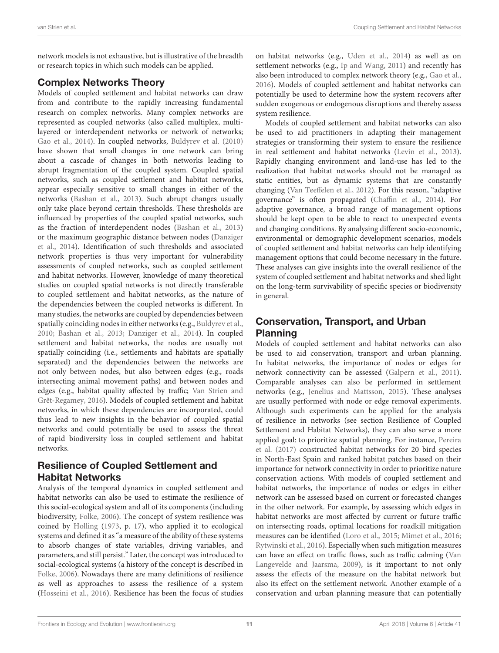network models is not exhaustive, but is illustrative of the breadth or research topics in which such models can be applied.

### Complex Networks Theory

Models of coupled settlement and habitat networks can draw from and contribute to the rapidly increasing fundamental research on complex networks. Many complex networks are represented as coupled networks (also called multiplex, multilayered or interdependent networks or network of networks; [Gao et al., 2014\)](#page-12-40). In coupled networks, [Buldyrev et al. \(2010\)](#page-12-41) have shown that small changes in one network can bring about a cascade of changes in both networks leading to abrupt fragmentation of the coupled system. Coupled spatial networks, such as coupled settlement and habitat networks, appear especially sensitive to small changes in either of the networks [\(Bashan et al., 2013\)](#page-12-42). Such abrupt changes usually only take place beyond certain thresholds. These thresholds are influenced by properties of the coupled spatial networks, such as the fraction of interdependent nodes [\(Bashan et al., 2013\)](#page-12-42) or the maximum geographic distance between nodes (Danziger et al., [2014\)](#page-12-43). Identification of such thresholds and associated network properties is thus very important for vulnerability assessments of coupled networks, such as coupled settlement and habitat networks. However, knowledge of many theoretical studies on coupled spatial networks is not directly transferable to coupled settlement and habitat networks, as the nature of the dependencies between the coupled networks is different. In many studies, the networks are coupled by dependencies between spatially coinciding nodes in either networks (e.g., [Buldyrev et al.,](#page-12-41) [2010;](#page-12-41) [Bashan et al., 2013;](#page-12-42) [Danziger et al., 2014\)](#page-12-43). In coupled settlement and habitat networks, the nodes are usually not spatially coinciding (i.e., settlements and habitats are spatially separated) and the dependencies between the networks are not only between nodes, but also between edges (e.g., roads intersecting animal movement paths) and between nodes and edges (e.g., habitat quality affected by traffic; Van Strien and Grêt-Regamey, [2016\)](#page-15-30). Models of coupled settlement and habitat networks, in which these dependencies are incorporated, could thus lead to new insights in the behavior of coupled spatial networks and could potentially be used to assess the threat of rapid biodiversity loss in coupled settlement and habitat networks.

# Resilience of Coupled Settlement and Habitat Networks

Analysis of the temporal dynamics in coupled settlement and habitat networks can also be used to estimate the resilience of this social-ecological system and all of its components (including biodiversity; [Folke, 2006\)](#page-12-44). The concept of system resilience was coined by [Holling](#page-13-36) [\(1973,](#page-13-36) p. 17), who applied it to ecological systems and defined it as "a measure of the ability of these systems to absorb changes of state variables, driving variables, and parameters, and still persist." Later, the concept was introduced to social-ecological systems (a history of the concept is described in [Folke, 2006\)](#page-12-44). Nowadays there are many definitions of resilience as well as approaches to assess the resilience of a system [\(Hosseini et al., 2016\)](#page-13-37). Resilience has been the focus of studies on habitat networks (e.g., [Uden et al., 2014\)](#page-15-38) as well as on settlement networks (e.g., [Ip and Wang, 2011\)](#page-13-38) and recently has also been introduced to complex network theory (e.g., [Gao et al.,](#page-12-45) [2016\)](#page-12-45). Models of coupled settlement and habitat networks can potentially be used to determine how the system recovers after sudden exogenous or endogenous disruptions and thereby assess system resilience.

Models of coupled settlement and habitat networks can also be used to aid practitioners in adapting their management strategies or transforming their system to ensure the resilience in real settlement and habitat networks [\(Levin et al., 2013\)](#page-13-9). Rapidly changing environment and land-use has led to the realization that habitat networks should not be managed as static entities, but as dynamic systems that are constantly changing [\(Van Teeffelen et al., 2012\)](#page-15-31). For this reason, "adaptive governance" is often propagated [\(Chaffin et al., 2014\)](#page-12-46). For adaptive governance, a broad range of management options should be kept open to be able to react to unexpected events and changing conditions. By analysing different socio-economic, environmental or demographic development scenarios, models of coupled settlement and habitat networks can help identifying management options that could become necessary in the future. These analyses can give insights into the overall resilience of the system of coupled settlement and habitat networks and shed light on the long-term survivability of specific species or biodiversity in general.

# Conservation, Transport, and Urban Planning

Models of coupled settlement and habitat networks can also be used to aid conservation, transport and urban planning. In habitat networks, the importance of nodes or edges for network connectivity can be assessed [\(Galpern et al., 2011\)](#page-12-3). Comparable analyses can also be performed in settlement networks (e.g., [Jenelius and Mattsson, 2015\)](#page-13-39). These analyses are usually performed with node or edge removal experiments. Although such experiments can be applied for the analysis of resilience in networks (see section Resilience of Coupled Settlement and Habitat Networks), they can also serve a more applied goal: to prioritize spatial planning. For instance, Pereira et al. [\(2017\)](#page-14-43) constructed habitat networks for 20 bird species in North-East Spain and ranked habitat patches based on their importance for network connectivity in order to prioritize nature conservation actions. With models of coupled settlement and habitat networks, the importance of nodes or edges in either network can be assessed based on current or forecasted changes in the other network. For example, by assessing which edges in habitat networks are most affected by current or future traffic on intersecting roads, optimal locations for roadkill mitigation measures can be identified [\(Loro et al., 2015;](#page-13-40) [Mimet et al., 2016;](#page-14-44) [Rytwinski et al., 2016\)](#page-14-29). Especially when such mitigation measures can have an effect on traffic flows, such as traffic calming (Van Langevelde and Jaarsma, [2009\)](#page-15-29), is it important to not only assess the effects of the measure on the habitat network but also its effect on the settlement network. Another example of a conservation and urban planning measure that can potentially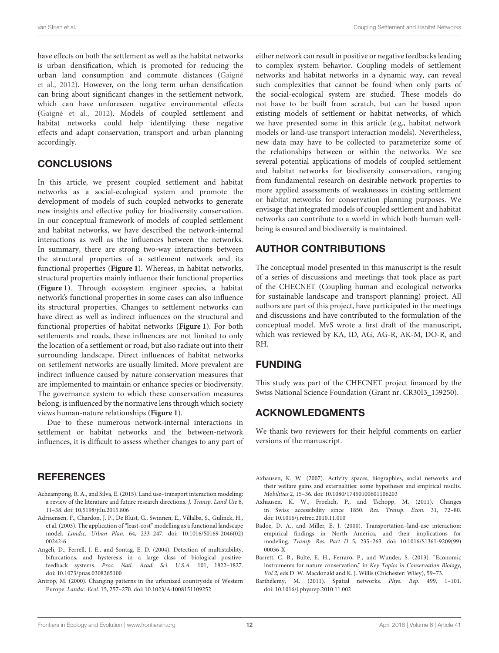have effects on both the settlement as well as the habitat networks is urban densification, which is promoted for reducing the urban land consumption and commute distances (Gaigné et al., [2012\)](#page-12-36). However, on the long term urban densification can bring about significant changes in the settlement network, which can have unforeseen negative environmental effects [\(Gaigné et al., 2012\)](#page-12-36). Models of coupled settlement and habitat networks could help identifying these negative effects and adapt conservation, transport and urban planning accordingly.

# **CONCLUSIONS**

In this article, we present coupled settlement and habitat networks as a social-ecological system and promote the development of models of such coupled networks to generate new insights and effective policy for biodiversity conservation. In our conceptual framework of models of coupled settlement and habitat networks, we have described the network-internal interactions as well as the influences between the networks. In summary, there are strong two-way interactions between the structural properties of a settlement network and its functional properties (**[Figure 1](#page-4-0)**). Whereas, in habitat networks, structural properties mainly influence their functional properties (**[Figure 1](#page-4-0)**). Through ecosystem engineer species, a habitat network's functional properties in some cases can also influence its structural properties. Changes to settlement networks can have direct as well as indirect influences on the structural and functional properties of habitat networks (**[Figure 1](#page-4-0)**). For both settlements and roads, these influences are not limited to only the location of a settlement or road, but also radiate out into their surrounding landscape. Direct influences of habitat networks on settlement networks are usually limited. More prevalent are indirect influence caused by nature conservation measures that are implemented to maintain or enhance species or biodiversity. The governance system to which these conservation measures belong, is influenced by the normative lens through which society views human-nature relationships (**[Figure 1](#page-4-0)**).

Due to these numerous network-internal interactions in settlement or habitat networks and the between-network influences, it is difficult to assess whether changes to any part of

#### **REFERENCES**

- <span id="page-11-8"></span>Acheampong, R. A., and Silva, E. (2015). Land use–transport interaction modeling: a review of the literature and future research directions. J. Transp. Land Use 8, 11–38. doi: [10.5198/jtlu.2015.806](https://doi.org/10.5198/jtlu.2015.806)
- <span id="page-11-4"></span>Adriaensen, F., Chardon, J. P., De Blust, G., Swinnen, E., Villalba, S., Gulinck, H., et al. (2003). The application of "least-cost" modelling as a functional landscape model. Landsc. Urban Plan. [64, 233–247. doi: 10.1016/S0169-2046\(02\)](https://doi.org/10.1016/S0169-2046(02)00242-6) 00242-6
- <span id="page-11-7"></span>Angeli, D., Ferrell, J. E., and Sontag, E. D. (2004). Detection of multistability, bifurcations, and hysteresis in a large class of biological positivefeedback systems. Proc. Natl. Acad. Sci. U.S.A. 101, 1822–1827. doi: [10.1073/pnas.0308265100](https://doi.org/10.1073/pnas.0308265100)
- <span id="page-11-3"></span>Antrop, M. (2000). Changing patterns in the urbanized countryside of Western Europe. Landsc. Ecol. 15, 257–270. doi: [10.1023/A:1008151109252](https://doi.org/10.1023/A:1008151109252)

either network can result in positive or negative feedbacks leading to complex system behavior. Coupling models of settlement networks and habitat networks in a dynamic way, can reveal such complexities that cannot be found when only parts of the social-ecological system are studied. These models do not have to be built from scratch, but can be based upon existing models of settlement or habitat networks, of which we have presented some in this article (e.g., habitat network models or land-use transport interaction models). Nevertheless, new data may have to be collected to parameterize some of the relationships between or within the networks. We see several potential applications of models of coupled settlement and habitat networks for biodiversity conservation, ranging from fundamental research on desirable network properties to more applied assessments of weaknesses in existing settlement or habitat networks for conservation planning purposes. We envisage that integrated models of coupled settlement and habitat networks can contribute to a world in which both human wellbeing is ensured and biodiversity is maintained.

# AUTHOR CONTRIBUTIONS

The conceptual model presented in this manuscript is the result of a series of discussions and meetings that took place as part of the CHECNET (Coupling human and ecological networks for sustainable landscape and transport planning) project. All authors are part of this project, have participated in the meetings and discussions and have contributed to the formulation of the conceptual model. MvS wrote a first draft of the manuscript, which was reviewed by KA, ID, AG, AG-R, AK-M, DO-R, and RH.

# FUNDING

This study was part of the CHECNET project financed by the Swiss National Science Foundation (Grant nr. CR30I3\_159250).

# ACKNOWLEDGMENTS

We thank two reviewers for their helpful comments on earlier versions of the manuscript.

- <span id="page-11-1"></span>Axhausen, K. W. (2007). Activity spaces, biographies, social networks and their welfare gains and externalities: some hypotheses and empirical results. Mobilities 2, 15–36. doi: [10.1080/17450100601106203](https://doi.org/10.1080/17450100601106203)
- <span id="page-11-5"></span>Axhausen, K. W., Froelich, P., and Tschopp, M. (2011). Changes in Swiss accessibility since 1850. Res. Transp. Econ. 31, 72–80. doi: [10.1016/j.retrec.2010.11.010](https://doi.org/10.1016/j.retrec.2010.11.010)
- <span id="page-11-0"></span>Badoe, D. A., and Miller, E. J. (2000). Transportation–land-use interaction: empirical findings in North America, and their implications for modeling. Transp. Res. Part D [5, 235–263. doi: 10.1016/S1361-9209\(99\)](https://doi.org/10.1016/S1361-9209(99)00036-X) 00036-X
- <span id="page-11-6"></span>Barrett, C. B., Bulte, E. H., Ferraro, P., and Wunder, S. (2013). "Economic instruments for nature conservation," in Key Topics in Conservation Biology, Vol 2, eds D. W. Macdonald and K. J. Willis (Chichester: Wiley), 59–73.
- <span id="page-11-2"></span>Barthélemy, M. (2011). Spatial networks. Phys. Rep. 499, 1–101. doi: [10.1016/j.physrep.2010.11.002](https://doi.org/10.1016/j.physrep.2010.11.002)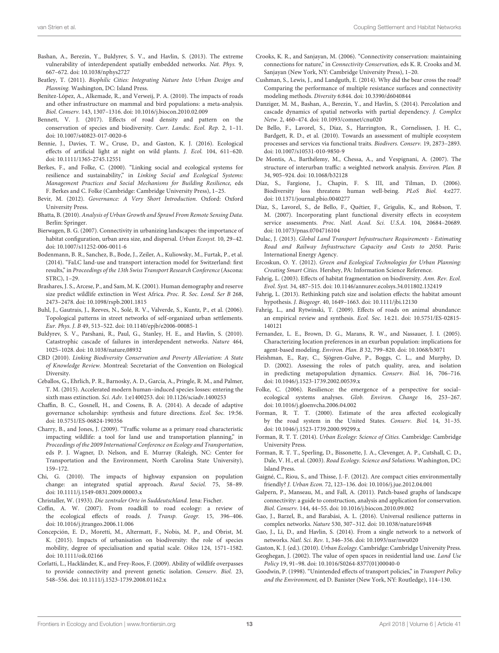- <span id="page-12-42"></span>Bashan, A., Berezin, Y., Buldyrev, S. V., and Havlin, S. (2013). The extreme vulnerability of interdependent spatially embedded networks. Nat. Phys. 9, 667–672. doi: [10.1038/nphys2727](https://doi.org/10.1038/nphys2727)
- <span id="page-12-8"></span>Beatley, T. (2011). Biophilic Cities: Integrating Nature Into Urban Design and Planning. Washington, DC: Island Press.
- <span id="page-12-28"></span>Benítez-López, A., Alkemade, R., and Verweij, P. A. (2010). The impacts of roads and other infrastructure on mammal and bird populations: a meta-analysis. Biol. Conserv. 143, 1307–1316. doi: [10.1016/j.biocon.2010.02.009](https://doi.org/10.1016/j.biocon.2010.02.009)
- <span id="page-12-12"></span>Bennett, V. J. (2017). Effects of road density and pattern on the conservation of species and biodiversity. Curr. Landsc. Ecol. Rep. 2, 1–11. doi: [10.1007/s40823-017-0020-6](https://doi.org/10.1007/s40823-017-0020-6)
- <span id="page-12-1"></span>Bennie, J., Davies, T. W., Cruse, D., and Gaston, K. J. (2016). Ecological effects of artificial light at night on wild plants. J. Ecol. 104, 611–620. doi: [10.1111/1365-2745.12551](https://doi.org/10.1111/1365-2745.12551)
- <span id="page-12-6"></span>Berkes, F., and Folke, C. (2000). "Linking social and ecological systems for resilience and sustainability," in Linking Social and Ecological Systems: Management Practices and Social Mechanisms for Building Resilience, eds F. Berkes and C. Folke (Cambridge: Cambridge University Press), 1–25.
- <span id="page-12-18"></span>Bevir, M. (2012). Governance: A Very Short Introduction. Oxford: Oxford University Press.
- <span id="page-12-33"></span>Bhatta, B. (2010). Analysis of Urban Growth and Sprawl From Remote Sensing Data. Berlin: Springer.
- <span id="page-12-23"></span>Bierwagen, B. G. (2007). Connectivity in urbanizing landscapes: the importance of habitat configuration, urban area size, and dispersal. Urban Ecosyst. 10, 29–42. doi: [10.1007/s11252-006-0011-6](https://doi.org/10.1007/s11252-006-0011-6)
- <span id="page-12-39"></span>Bodenmann, B. R., Sanchez, B., Bode, J., Zeiler, A., Kuliowsky, M., Furtak, P., et al. (2014). "FaLC land-use and transport interaction model for Switzerland: first results," in Proceedings of the 13th Swiss Transport Research Conference (Ascona: STRC), 1–29.
- <span id="page-12-30"></span>Brashares, J. S., Arcese, P., and Sam, M. K. (2001). Human demography and reserve size predict wildlife extinction in West Africa. Proc. R. Soc. Lond. Ser B 268, 2473–2478. doi: [10.1098/rspb.2001.1815](https://doi.org/10.1098/rspb.2001.1815)
- <span id="page-12-13"></span>Buhl, J., Gautrais, J., Reeves, N., Solé, R. V., Valverde, S., Kuntz, P., et al. (2006). Topological patterns in street networks of self-organized urban settlements. Eur. Phys. J. B 49, 513–522. doi: [10.1140/epjb/e2006-00085-1](https://doi.org/10.1140/epjb/e2006-00085-1)
- <span id="page-12-41"></span>Buldyrev, S. V., Parshani, R., Paul, G., Stanley, H. E., and Havlin, S. (2010). Catastrophic cascade of failures in interdependent networks. Nature 464, 1025–1028. doi: [10.1038/nature,](https://doi.org/10.1038/nature)08932
- <span id="page-12-32"></span>CBD (2010). Linking Biodiversity Conservation and Poverty Alleviation: A State of Knowledge Review. Montreal: Secretariat of the Convention on Biological Diversity.
- <span id="page-12-0"></span>Ceballos, G., Ehrlich, P. R., Barnosky, A. D., García, A., Pringle, R. M., and Palmer, T. M. (2015). Accelerated modern human–induced species losses: entering the sixth mass extinction. Sci. Adv. 1:e1400253. doi: [10.1126/sciadv.1400253](https://doi.org/10.1126/sciadv.1400253)
- <span id="page-12-46"></span>Chaffin, B. C., Gosnell, H., and Cosens, B. A. (2014). A decade of adaptive governance scholarship: synthesis and future directions. Ecol. Soc. 19:56. doi: [10.5751/ES-06824-190356](https://doi.org/10.5751/ES-06824-190356)
- <span id="page-12-29"></span>Charry, B., and Jones, J. (2009). "Traffic volume as a primary road characteristic impacting wildlife: a tool for land use and transportation planning," in Proceedings of the 2009 International Conference on Ecology and Transportation, eds P. J. Wagner, D. Nelson, and E. Murray (Raleigh, NC: Center for Transportation and the Environment, North Carolina State University), 159–172.
- <span id="page-12-17"></span>Chi, G. (2010). The impacts of highway expansion on population change: an integrated spatial approach. Rural Sociol. 75, 58–89. doi: [10.1111/j.1549-0831.2009.00003.x](https://doi.org/10.1111/j.1549-0831.2009.00003.x)

<span id="page-12-7"></span>Christaller, W. (1933). Die zentraler Orte in Suddeutschland. Jena: Fischer.

- <span id="page-12-24"></span>Coffin, A. W. (2007). From roadkill to road ecology: a review of the ecological effects of roads. J. Transp. Geogr. 15, 396–406. doi: [10.1016/j.jtrangeo.2006.11.006](https://doi.org/10.1016/j.jtrangeo.2006.11.006)
- <span id="page-12-16"></span>Concepción, E. D., Moretti, M., Altermatt, F., Nobis, M. P., and Obrist, M. K. (2015). Impacts of urbanisation on biodiversity: the role of species mobility, degree of specialisation and spatial scale. Oikos 124, 1571–1582. doi: [10.1111/oik.02166](https://doi.org/10.1111/oik.02166)
- <span id="page-12-26"></span>Corlatti, L., Hackländer, K., and Frey-Roos, F. (2009). Ability of wildlife overpasses to provide connectivity and prevent genetic isolation. Conserv. Biol. 23, 548–556. doi: [10.1111/j.1523-1739.2008.01162.x](https://doi.org/10.1111/j.1523-1739.2008.01162.x)
- <span id="page-12-4"></span>Crooks, K. R., and Sanjayan, M. (2006). "Connectivity conservation: maintaining connections for nature," in Connectivity Conservation, eds K. R. Crooks and M. Sanjayan (New York, NY: Cambridge University Press), 1–20.
- <span id="page-12-15"></span>Cushman, S., Lewis, J., and Landguth, E. (2014). Why did the bear cross the road? Comparing the performance of multiple resistance surfaces and connectivity modeling methods. Diversity 6:844. doi: [10.3390/d6040844](https://doi.org/10.3390/d6040844)
- <span id="page-12-43"></span>Danziger, M. M., Bashan, A., Berezin, Y., and Havlin, S. (2014). Percolation and cascade dynamics of spatial networks with partial dependency. J. Complex Netw. 2, 460–474. doi: [10.1093/comnet/cnu020](https://doi.org/10.1093/comnet/cnu020)
- <span id="page-12-37"></span>De Bello, F., Lavorel, S., Díaz, S., Harrington, R., Cornelissen, J. H. C., Bardgett, R. D., et al. (2010). Towards an assessment of multiple ecosystem processes and services via functional traits. Biodivers. Conserv. 19, 2873–2893. doi: [10.1007/s10531-010-9850-9](https://doi.org/10.1007/s10531-010-9850-9)
- <span id="page-12-14"></span>De Montis, A., Barthélemy, M., Chessa, A., and Vespignani, A. (2007). The structure of interurban traffic: a weighted network analysis. Environ. Plan. B 34, 905–924. doi: [10.1068/b32128](https://doi.org/10.1068/b32128)
- <span id="page-12-31"></span>Díaz, S., Fargione, J., Chapin, F. S. III, and Tilman, D. (2006). Biodiversity loss threatens human well-being. PLoS Biol. 4:e277. doi: [10.1371/journal.pbio.0040277](https://doi.org/10.1371/journal.pbio.0040277)
- <span id="page-12-38"></span>Díaz, S., Lavorel, S., de Bello, F., Quétier, F., Grigulis, K., and Robson, T. M. (2007). Incorporating plant functional diversity effects in ecosystem service assessments. Proc. Natl. Acad. Sci. U.S.A. 104, 20684–20689. doi: [10.1073/pnas.0704716104](https://doi.org/10.1073/pnas.0704716104)
- <span id="page-12-2"></span>Dulac, J. (2013). Global Land Transport Infrastructure Requirements - Estimating Road and Railway Infrastructure Capacity and Costs to 2050. Paris: International Energy Agency.
- <span id="page-12-9"></span>Ercoskun, O. Y. (2012). Green and Ecological Technologies for Urban Planning: Creating Smart Cities. Hershey, PA: Information Science Reference.
- <span id="page-12-20"></span>Fahrig, L. (2003). Effects of habitat fragmentation on biodiversity. Ann. Rev. Ecol. Evol. Syst. 34, 487–515. doi: [10.1146/annurev.ecolsys.34.011802.132419](https://doi.org/10.1146/annurev.ecolsys.34.011802.132419)
- <span id="page-12-22"></span>Fahrig, L. (2013). Rethinking patch size and isolation effects: the habitat amount hypothesis. J. Biogeogr. 40, 1649–1663. doi: [10.1111/jbi.12130](https://doi.org/10.1111/jbi.12130)
- <span id="page-12-27"></span>Fahrig, L., and Rytwinski, T. (2009). Effects of roads on animal abundance: [an empirical review and synthesis.](https://doi.org/10.5751/ES-02815-140121) Ecol. Soc. 14:21. doi: 10.5751/ES-02815- 140121
- <span id="page-12-34"></span>Fernandez, L. E., Brown, D. G., Marans, R. W., and Nassauer, J. I. (2005). Characterizing location preferences in an exurban population: implications for agent-based modeling. Environ. Plan. B 32, 799–820. doi: [10.1068/b3071](https://doi.org/10.1068/b3071)
- <span id="page-12-21"></span>Fleishman, E., Ray, C., Sjögren-Gulve, P., Boggs, C. L., and Murphy, D. D. (2002). Assessing the roles of patch quality, area, and isolation in predicting metapopulation dynamics. Conserv. Biol. 16, 706–716. doi: [10.1046/j.1523-1739.2002.00539.x](https://doi.org/10.1046/j.1523-1739.2002.00539.x)
- <span id="page-12-44"></span>Folke, C. (2006). Resilience: the emergence of a perspective for social– ecological systems analyses. Glob. Environ. Change 16, 253–267. doi: [10.1016/j.gloenvcha.2006.04.002](https://doi.org/10.1016/j.gloenvcha.2006.04.002)
- <span id="page-12-25"></span>Forman, R. T. T. (2000). Estimate of the area affected ecologically by the road system in the United States. Conserv. Biol. 14, 31–35. doi: [10.1046/j.1523-1739.2000.99299.x](https://doi.org/10.1046/j.1523-1739.2000.99299.x)
- <span id="page-12-11"></span>Forman, R. T. T. (2014). Urban Ecology: Science of Cities. Cambridge: Cambridge University Press.
- <span id="page-12-5"></span>Forman, R. T. T., Sperling, D., Bissonette, J. A., Clevenger, A. P., Cutshall, C. D., Dale, V. H., et al. (2003). Road Ecology. Science and Solutions. Washington, DC: Island Press.
- <span id="page-12-36"></span>Gaigné, C., Riou, S., and Thisse, J.-F. (2012). Are compact cities environmentally friendly? J. Urban Econ. 72, 123–136. doi: [10.1016/j.jue.2012.04.001](https://doi.org/10.1016/j.jue.2012.04.001)
- <span id="page-12-3"></span>Galpern, P., Manseau, M., and Fall, A. (2011). Patch-based graphs of landscape connectivity: a guide to construction, analysis and application for conservation. Biol. Conserv. 144, 44–55. doi: [10.1016/j.biocon.2010.09.002](https://doi.org/10.1016/j.biocon.2010.09.002)
- <span id="page-12-45"></span>Gao, J., Barzel, B., and Barabási, A. L. (2016). Universal resilience patterns in complex networks. Nature 530, 307–312. doi: [10.1038/nature16948](https://doi.org/10.1038/nature16948)
- <span id="page-12-40"></span>Gao, J., Li, D., and Havlin, S. (2014). From a single network to a network of networks. Natl. Sci. Rev. 1, 346–356. doi: [10.1093/nsr/nwu020](https://doi.org/10.1093/nsr/nwu020)
- <span id="page-12-10"></span>Gaston, K. J. (ed.). (2010). Urban Ecology. Cambridge: Cambridge University Press.
- <span id="page-12-35"></span>Geoghegan, J. (2002). The value of open spaces in residential land use. Land Use Policy 19, 91–98. doi: [10.1016/S0264-8377\(01\)00040-0](https://doi.org/10.1016/S0264-8377(01)00040-0)
- <span id="page-12-19"></span>Goodwin, P. (1998). "Unintended effects of transport policies," in Transport Policy and the Environment, ed D. Banister (New York, NY: Routledge), 114–130.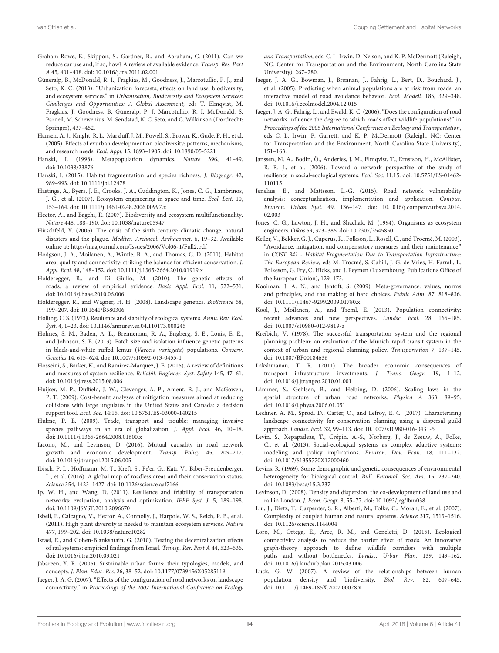- <span id="page-13-16"></span>Graham-Rowe, E., Skippon, S., Gardner, B., and Abraham, C. (2011). Can we reduce car use and, if so, how? A review of available evidence. Transp. Res. Part A 45, 401–418. doi: [10.1016/j.tra.2011.02.001](https://doi.org/10.1016/j.tra.2011.02.001)
- <span id="page-13-0"></span>Güneralp, B., McDonald, R. I., Fragkias, M., Goodness, J., Marcotullio, P. J., and Seto, K. C. (2013). "Urbanization forecasts, effects on land use, biodiversity, and ecosystem services," in Urbanization, Biodiversity and Ecosystem Services: Challenges and Opportunities: A Global Assessment, eds T. Elmqvist, M. Fragkias, J. Goodness, B. Güneralp, P. J. Marcotullio, R. I. McDonald, S. Parnell, M. Schewenius, M. Sendstad, K. C. Seto, and C. Wilkinson (Dordrecht: Springer), 437–452.
- <span id="page-13-23"></span>Hansen, A. J., Knight, R. L., Marzluff, J. M., Powell, S., Brown, K., Gude, P. H., et al. (2005). Effects of exurban development on biodiversity: patterns, mechanisms, and research needs. Ecol. Appl. 15, 1893–1905. doi: [10.1890/05-5221](https://doi.org/10.1890/05-5221)
- <span id="page-13-20"></span>Hanski, I. (1998). Metapopulation dynamics. Nature 396, 41–49. doi: [10.1038/23876](https://doi.org/10.1038/23876)
- <span id="page-13-21"></span>Hanski, I. (2015). Habitat fragmentation and species richness. J. Biogeogr. 42, 989–993. doi: [10.1111/jbi.12478](https://doi.org/10.1111/jbi.12478)
- <span id="page-13-35"></span>Hastings, A., Byers, J. E., Crooks, J. A., Cuddington, K., Jones, C. G., Lambrinos, J. G., et al. (2007). Ecosystem engineering in space and time. Ecol. Lett. 10, 153–164. doi: [10.1111/j.1461-0248.2006.00997.x](https://doi.org/10.1111/j.1461-0248.2006.00997.x)
- <span id="page-13-6"></span>Hector, A., and Bagchi, R. (2007). Biodiversity and ecosystem multifunctionality. Nature 448, 188–190. doi: [10.1038/nature05947](https://doi.org/10.1038/nature05947)
- <span id="page-13-27"></span>Hirschfeld, Y. (2006). The crisis of the sixth century: climatic change, natural disasters and the plague. Mediter. Archaeol. Archaeomet. 6, 19–32. Available online at:<http://maajournal.com/Issues/2006/Vol06-1/Full2.pdf>
- <span id="page-13-17"></span>Hodgson, J. A., Moilanen, A., Wintle, B. A., and Thomas, C. D. (2011). Habitat area, quality and connectivity: striking the balance for efficient conservation. J. Appl. Ecol. 48, 148–152. doi: [10.1111/j.1365-2664.2010.01919.x](https://doi.org/10.1111/j.1365-2664.2010.01919.x)
- <span id="page-13-5"></span>Holderegger, R., and Di Giulio, M. (2010). The genetic effects of roads: a review of empirical evidence. Basic Appl. Ecol. 11, 522–531. doi: [10.1016/j.baae.2010.06.006](https://doi.org/10.1016/j.baae.2010.06.006)
- <span id="page-13-18"></span>Holderegger, R., and Wagner, H. H. (2008). Landscape genetics. BioScience 58, 199–207. doi: [10.1641/B580306](https://doi.org/10.1641/B580306)
- <span id="page-13-36"></span>Holling, C. S. (1973). Resilience and stability of ecological systems. Annu. Rev. Ecol. Syst. 4, 1–23. doi: [10.1146/annurev.es.04.110173.000245](https://doi.org/10.1146/annurev.es.04.110173.000245)
- <span id="page-13-19"></span>Holmes, S. M., Baden, A. L., Brenneman, R. A., Engberg, S. E., Louis, E. E., and Johnson, S. E. (2013). Patch size and isolation influence genetic patterns in black-and-white ruffed lemur (Varecia variegata) populations. Conserv. Genetics 14, 615–624. doi: [10.1007/s10592-013-0455-1](https://doi.org/10.1007/s10592-013-0455-1)
- <span id="page-13-37"></span>Hosseini, S., Barker, K., and Ramirez-Marquez, J. E. (2016). A review of definitions and measures of system resilience. Reliabil. Engineer. Syst. Safety 145, 47–61. doi: [10.1016/j.ress.2015.08.006](https://doi.org/10.1016/j.ress.2015.08.006)
- <span id="page-13-28"></span>Huijser, M. P., Duffield, J. W., Clevenger, A. P., Ament, R. J., and McGowen, P. T. (2009). Cost-benefit analyses of mitigation measures aimed at reducing collisions with large ungulates in the United States and Canada: a decision support tool. Ecol. Soc. 14:15. doi: [10.5751/ES-03000-140215](https://doi.org/10.5751/ES-03000-140215)
- <span id="page-13-25"></span>Hulme, P. E. (2009). Trade, transport and trouble: managing invasive species pathways in an era of globalization. J. Appl. Ecol. 46, 10–18. doi: [10.1111/j.1365-2664.2008.01600.x](https://doi.org/10.1111/j.1365-2664.2008.01600.x)
- <span id="page-13-14"></span>Iacono, M., and Levinson, D. (2016). Mutual causality in road network growth and economic development. Transp. Policy 45, 209–217. doi: [10.1016/j.tranpol.2015.06.005](https://doi.org/10.1016/j.tranpol.2015.06.005)
- <span id="page-13-24"></span>Ibisch, P. L., Hoffmann, M. T., Kreft, S., Pe'er, G., Kati, V., Biber-Freudenberger, L., et al. (2016). A global map of roadless areas and their conservation status. Science 354, 1423–1427. doi: [10.1126/science.aaf7166](https://doi.org/10.1126/science.aaf7166)
- <span id="page-13-38"></span>Ip, W. H., and Wang, D. (2011). Resilience and friability of transportation networks: evaluation, analysis and optimization. IEEE Syst. J. 5, 189–198. doi: [10.1109/JSYST.2010.2096670](https://doi.org/10.1109/JSYST.2010.2096670)
- <span id="page-13-7"></span>Isbell, F., Calcagno, V., Hector, A., Connolly, J., Harpole, W. S., Reich, P. B., et al. (2011). High plant diversity is needed to maintain ecosystem services. Nature 477, 199–202. doi: [10.1038/nature10282](https://doi.org/10.1038/nature10282)
- <span id="page-13-3"></span>Israel, E., and Cohen-Blankshtain, G. (2010). Testing the decentralization effects of rail systems: empirical findings from Israel. Transp. Res. Part A 44, 523–536. doi: [10.1016/j.tra.2010.03.021](https://doi.org/10.1016/j.tra.2010.03.021)
- <span id="page-13-30"></span>Jabareen, Y. R. (2006). Sustainable urban forms: their typologies, models, and concepts. J. Plan. Educ. Res. 26, 38–52. doi: [10.1177/0739456X05285119](https://doi.org/10.1177/0739456X05285119)
- <span id="page-13-33"></span>Jaeger, J. A. G. (2007). "Effects of the configuration of road networks on landscape connectivity," in Proceedings of the 2007 International Conference on Ecology

and Transportation, eds. C. L. Irwin, D. Nelson, and K. P. McDermott (Raleigh, NC: Center for Transportation and the Environment, North Carolina State University), 267–280.

- <span id="page-13-26"></span>Jaeger, J. A. G., Bowman, J., Brennan, J., Fahrig, L., Bert, D., Bouchard, J., et al. (2005). Predicting when animal populations are at risk from roads: an interactive model of road avoidance behavior. Ecol. Modell. 185, 329–348. doi: [10.1016/j.ecolmodel.2004.12.015](https://doi.org/10.1016/j.ecolmodel.2004.12.015)
- <span id="page-13-32"></span>Jaeger, J. A. G., Fahrig, L., and Ewald, K. C. (2006). "Does the configuration of road networks influence the degree to which roads affect wildlife populations?" in Proceedings of the 2005 International Conference on Ecology and Transportation, eds C. L. Irwin, P. Garrett, and K. P. McDermott (Raleigh, NC: Center for Transportation and the Environment, North Carolina State University), 151–163.
- <span id="page-13-11"></span>Janssen, M. A., Bodin, Ö., Anderies, J. M., Elmqvist, T., Ernstson, H., McAllister, R. R. J., et al. (2006). Toward a network perspective of the study of [resilience in social-ecological systems.](https://doi.org/10.5751/ES-01462-110115) Ecol. Soc. 11:15. doi: 10.5751/ES-01462- 110115
- <span id="page-13-39"></span>Jenelius, E., and Mattsson, L.-G. (2015). Road network vulnerability analysis: conceptualization, implementation and application. Comput. Environ. Urban Syst. [49, 136–147. doi: 10.1016/j.compenvurbsys.2014.](https://doi.org/10.1016/j.compenvurbsys.2014.02.003) 02.003
- <span id="page-13-22"></span>Jones, C. G., Lawton, J. H., and Shachak, M. (1994). Organisms as ecosystem engineers. Oikos 69, 373–386. doi: [10.2307/3545850](https://doi.org/10.2307/3545850)
- <span id="page-13-31"></span>Keller, V., Bekker, G. J., Cuperus, R., Folkson, L., Rosell, C., and Trocmé, M. (2003). "Avoidance, mitigation, and compensatory measures and their maintenance," in COST 341 - Habitat Fragmentation Due to Transportation Infrastructure: The European Review, eds M. Trocmé, S. Cahill, J. G. de Vries, H. Farrall, L. Folkeson, G. Fry, C. Hicks, and J. Peymen (Luxembourg: Publications Office of the European Union), 129–173.
- <span id="page-13-29"></span>Kooiman, J. A. N., and Jentoft, S. (2009). Meta-governance: values, norms and principles, and the making of hard choices. Public Adm. 87, 818–836. doi: [10.1111/j.1467-9299.2009.01780.x](https://doi.org/10.1111/j.1467-9299.2009.01780.x)
- <span id="page-13-13"></span>Kool, J., Moilanen, A., and Treml, E. (2013). Population connectivity: recent advances and new perspectives. Landsc. Ecol. 28, 165–185. doi: [10.1007/s10980-012-9819-z](https://doi.org/10.1007/s10980-012-9819-z)
- <span id="page-13-15"></span>Kreibich, V. (1978). The successful transportation system and the regional planning problem: an evaluation of the Munich rapid transit system in the context of urban and regional planning policy. Transportation 7, 137–145. doi: [10.1007/BF00184636](https://doi.org/10.1007/BF00184636)
- <span id="page-13-4"></span>Lakshmanan, T. R. (2011). The broader economic consequences of transport infrastructure investments. J. Trans. Geogr. 19, 1–12. doi: [10.1016/j.jtrangeo.2010.01.001](https://doi.org/10.1016/j.jtrangeo.2010.01.001)
- <span id="page-13-12"></span>Lämmer, S., Gehlsen, B., and Helbing, D. (2006). Scaling laws in the spatial structure of urban road networks. Physica A 363, 89–95. doi: [10.1016/j.physa.2006.01.051](https://doi.org/10.1016/j.physa.2006.01.051)
- <span id="page-13-34"></span>Lechner, A. M., Sprod, D., Carter, O., and Lefroy, E. C. (2017). Characterising landscape connectivity for conservation planning using a dispersal guild approach. Landsc. Ecol. 32, 99–113. doi: [10.1007/s10980-016-0431-5](https://doi.org/10.1007/s10980-016-0431-5)
- <span id="page-13-9"></span>Levin, S., Xepapadeas, T., Crépin, A.-S., Norberg, J., de Zeeuw, A., Folke, C., et al. (2013). Social-ecological systems as complex adaptive systems: modeling and policy implications. Environ. Dev. Econ. 18, 111–132. doi: [10.1017/S1355770X12000460](https://doi.org/10.1017/S1355770X12000460)
- <span id="page-13-10"></span>Levins, R. (1969). Some demographic and genetic consequences of environmental heterogeneity for biological control. Bull. Entomol. Soc. Am. 15, 237–240. doi: [10.1093/besa/15.3.237](https://doi.org/10.1093/besa/15.3.237)
- <span id="page-13-2"></span>Levinson, D. (2008). Density and dispersion: the co-development of land use and rail in London. J. Econ. Geogr. 8, 55–77. doi: [10.1093/jeg/lbm038](https://doi.org/10.1093/jeg/lbm038)
- <span id="page-13-8"></span>Liu, J., Dietz, T., Carpenter, S. R., Alberti, M., Folke, C., Moran, E., et al. (2007). Complexity of coupled human and natural systems. Science 317, 1513–1516. doi: [10.1126/science.1144004](https://doi.org/10.1126/science.1144004)
- <span id="page-13-40"></span>Loro, M., Ortega, E., Arce, R. M., and Geneletti, D. (2015). Ecological connectivity analysis to reduce the barrier effect of roads. An innovative graph-theory approach to define wildlife corridors with multiple paths and without bottlenecks. Landsc. Urban Plan. 139, 149–162. doi: [10.1016/j.landurbplan.2015.03.006](https://doi.org/10.1016/j.landurbplan.2015.03.006)
- <span id="page-13-1"></span>Luck, G. W. (2007). A review of the relationships between human population density and biodiversity. Biol. Rev. 82, 607–645. doi: [10.1111/j.1469-185X.2007.00028.x](https://doi.org/10.1111/j.1469-185X.2007.00028.x)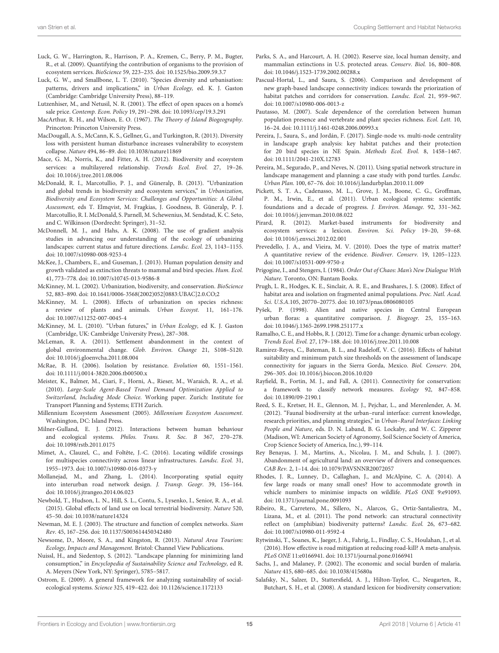- <span id="page-14-40"></span>Luck, G. W., Harrington, R., Harrison, P. A., Kremen, C., Berry, P. M., Bugter, R., et al. (2009). Quantifying the contribution of organisms to the provision of ecosystem services. BioScience 59, 223–235. doi: [10.1525/bio.2009.59.3.7](https://doi.org/10.1525/bio.2009.59.3.7)
- <span id="page-14-5"></span>Luck, G. W., and Smallbone, L. T. (2010). "Species diversity and urbanisation: patterns, drivers and implications," in Urban Ecology, ed. K. J. Gaston (Cambridge: Cambridge University Press), 88–119.
- <span id="page-14-36"></span>Lutzenhiser, M., and Netusil, N. R. (2001). The effect of open spaces on a home's sale price. Contemp. Econ. Policy 19, 291–298. doi: [10.1093/cep/19.3.291](https://doi.org/10.1093/cep/19.3.291)
- <span id="page-14-11"></span>MacArthur, R. H., and Wilson, E. O. (1967). The Theory of Island Biogeography. Princeton: Princeton University Press.
- <span id="page-14-7"></span>MacDougall, A. S., McCann, K. S., Gellner, G., and Turkington, R. (2013). Diversity loss with persistent human disturbance increases vulnerability to ecosystem collapse. Nature 494, 86–89. doi: [10.1038/nature11869](https://doi.org/10.1038/nature11869)
- <span id="page-14-8"></span>Mace, G. M., Norris, K., and Fitter, A. H. (2012). Biodiversity and ecosystem services: a multilayered relationship. Trends Ecol. Evol. 27, 19–26. doi: [10.1016/j.tree.2011.08.006](https://doi.org/10.1016/j.tree.2011.08.006)
- <span id="page-14-4"></span>McDonald, R. I., Marcotullio, P. J., and Güneralp, B. (2013). "Urbanization and global trends in biodiversity and ecosystem services," in Urbanization, Biodiversity and Ecosystem Services: Challenges and Opportunities: A Global Assessment, eds T. Elmqvist, M. Fragkias, J. Goodness, B. Güneralp, P. J. Marcotullio, R. I. McDonald, S. Parnell, M. Schewenius, M. Sendstad, K. C. Seto, and C. Wilkinson (Dordrecht: Springer), 31–52.
- <span id="page-14-28"></span>McDonnell, M. J., and Hahs, A. K. (2008). The use of gradient analysis studies in advancing our understanding of the ecology of urbanizing landscapes: current status and future directions. Landsc. Ecol. 23, 1143–1155. doi: [10.1007/s10980-008-9253-4](https://doi.org/10.1007/s10980-008-9253-4)
- <span id="page-14-32"></span>McKee, J., Chambers, E., and Guseman, J. (2013). Human population density and growth validated as extinction threats to mammal and bird species. Hum. Ecol. 41, 773–778. doi: [10.1007/s10745-013-9586-8](https://doi.org/10.1007/s10745-013-9586-8)
- <span id="page-14-27"></span>McKinney, M. L. (2002). Urbanization, biodiversity, and conservation. BioScience 52, 883–890. doi: [10.1641/0006-3568\(2002\)052\[0883:UBAC\]2.0.CO;2](https://doi.org/10.1641/0006-3568(2002)052[0883:UBAC]2.0.CO;2)
- <span id="page-14-30"></span>McKinney, M. L. (2008). Effects of urbanization on species richness: a review of plants and animals. Urban Ecosyst. 11, 161–176. doi: [10.1007/s11252-007-0045-4](https://doi.org/10.1007/s11252-007-0045-4)
- <span id="page-14-13"></span>McKinney, M. L. (2010). "Urban futures," in Urban Ecology, ed K. J. Gaston (Cambridge, UK: Cambridge University Press), 287–308.
- <span id="page-14-34"></span>McLeman, R. A. (2011). Settlement abandonment in the context of global environmental change. Glob. Environ. Change 21, S108–S120. doi: [10.1016/j.gloenvcha.2011.08.004](https://doi.org/10.1016/j.gloenvcha.2011.08.004)
- <span id="page-14-20"></span>McRae, B. H. (2006). Isolation by resistance. Evolution 60, 1551–1561. doi: [10.1111/j.0014-3820.2006.tb00500.x](https://doi.org/10.1111/j.0014-3820.2006.tb00500.x)
- <span id="page-14-17"></span>Meister, K., Balmer, M., Ciari, F., Horni, A., Rieser, M., Waraich, R. A., et al. (2010). Large-Scale Agent-Based Travel Demand Optimization Applied to Switzerland, Including Mode Choice. Working paper. Zurich: Institute for Transport Planning and Systems; ETH Zurich.
- <span id="page-14-1"></span>Millennium Ecosystem Assessment (2005). Millennium Ecosystem Assessment. Washington, DC: Island Press.
- <span id="page-14-9"></span>Milner-Gulland, E. J. (2012). Interactions between human behaviour and ecological systems. Philos. Trans. R. Soc. B 367, 270–278. doi: [10.1098/rstb.2011.0175](https://doi.org/10.1098/rstb.2011.0175)
- <span id="page-14-44"></span>Mimet, A., Clauzel, C., and Foltête, J.-C. (2016). Locating wildlife crossings for multispecies connectivity across linear infrastructures. Landsc. Ecol. 31, 1955–1973. doi: [10.1007/s10980-016-0373-y](https://doi.org/10.1007/s10980-016-0373-y)
- <span id="page-14-16"></span>Mollanejad, M., and Zhang, L. (2014). Incorporating spatial equity into interurban road network design. J. Transp. Geogr. 39, 156–164. doi: [10.1016/j.jtrangeo.2014.06.023](https://doi.org/10.1016/j.jtrangeo.2014.06.023)
- <span id="page-14-0"></span>Newbold, T., Hudson, L. N., Hill, S. L., Contu, S., Lysenko, I., Senior, R. A., et al. (2015). Global effects of land use on local terrestrial biodiversity. Nature 520, 45–50. doi: [10.1038/nature14324](https://doi.org/10.1038/nature14324)
- <span id="page-14-21"></span>Newman, M. E. J. (2003). The structure and function of complex networks. Siam Rev. 45, 167–256. doi: [10.1137/S003614450342480](https://doi.org/10.1137/S003614450342480)
- <span id="page-14-37"></span>Newsome, D., Moore, S. A., and Kingston, R. (2013). Natural Area Tourism: Ecology, Impacts and Management. Bristol: Channel View Publications.
- <span id="page-14-12"></span>Nuissl, H., and Siedentop, S. (2012). "Landscape planning for minimizing land consumption," in Encyclopedia of Sustainability Science and Technology, ed R. A. Meyers (New York, NY: Springer), 5785–5817.
- <span id="page-14-23"></span>Ostrom, E. (2009). A general framework for analyzing sustainability of socialecological systems. Science 325, 419–422. doi: [10.1126/science.1172133](https://doi.org/10.1126/science.1172133)
- <span id="page-14-33"></span>Parks, S. A., and Harcourt, A. H. (2002). Reserve size, local human density, and mammalian extinctions in U.S. protected areas. Conserv. Biol. 16, 800–808. doi: [10.1046/j.1523-1739.2002.00288.x](https://doi.org/10.1046/j.1523-1739.2002.00288.x)
- <span id="page-14-24"></span>Pascual-Hortal, L., and Saura, S. (2006). Comparison and development of new graph-based landscape connectivity indices: towards the priorization of habitat patches and corridors for conservation. Landsc. Ecol. 21, 959–967. doi: [10.1007/s10980-006-0013-z](https://doi.org/10.1007/s10980-006-0013-z)
- <span id="page-14-15"></span>Pautasso, M. (2007). Scale dependence of the correlation between human population presence and vertebrate and plant species richness. Ecol. Lett. 10, 16–24. doi: [10.1111/j.1461-0248.2006.00993.x](https://doi.org/10.1111/j.1461-0248.2006.00993.x)
- <span id="page-14-43"></span>Pereira, J., Saura, S., and Jordán, F. (2017). Single-node vs. multi-node centrality in landscape graph analysis: key habitat patches and their protection for 20 bird species in NE Spain. Methods Ecol. Evol. 8, 1458–1467. doi: [10.1111/2041-210X.12783](https://doi.org/10.1111/2041-210X.12783)
- <span id="page-14-41"></span>Pereira, M., Segurado, P., and Neves, N. (2011). Using spatial network structure in landscape management and planning: a case study with pond turtles. Landsc. Urban Plan. 100, 67–76. doi: [10.1016/j.landurbplan.2010.11.009](https://doi.org/10.1016/j.landurbplan.2010.11.009)
- <span id="page-14-6"></span>Pickett, S. T. A., Cadenasso, M. L., Grove, J. M., Boone, C. G., Groffman, P. M., Irwin, E., et al. (2011). Urban ecological systems: scientific foundations and a decade of progress. J. Environ. Manage. 92, 331–362. doi: [10.1016/j.jenvman.2010.08.022](https://doi.org/10.1016/j.jenvman.2010.08.022)
- <span id="page-14-38"></span>Pirard, R. (2012). Market-based instruments for biodiversity and ecosystem services: a lexicon. Environ. Sci. Policy 19–20, 59–68. doi: [10.1016/j.envsci.2012.02.001](https://doi.org/10.1016/j.envsci.2012.02.001)
- <span id="page-14-25"></span>Prevedello, J. A., and Vieira, M. V. (2010). Does the type of matrix matter? A quantitative review of the evidence. Biodiver. Conserv. 19, 1205–1223. doi: [10.1007/s10531-009-9750-z](https://doi.org/10.1007/s10531-009-9750-z)
- <span id="page-14-10"></span>Prigogine, I., and Stengers, I. (1984). Order Out of Chaos: Man's New Dialogue With Nature. Toronto, ON: Bantam Books.
- <span id="page-14-26"></span>Prugh, L. R., Hodges, K. E., Sinclair, A. R. E., and Brashares, J. S. (2008). Effect of habitat area and isolation on fragmented animal populations. Proc. Natl. Acad. Sci. U.S.A.105, 20770–20775. doi: [10.1073/pnas.0806080105](https://doi.org/10.1073/pnas.0806080105)
- <span id="page-14-31"></span>Pyšek, P. (1998). Alien and native species in Central European urban floras: a quantitative comparison. J. Biogeogr. 25, 155–163. doi: [10.1046/j.1365-2699.1998.251177.x](https://doi.org/10.1046/j.1365-2699.1998.251177.x)
- <span id="page-14-14"></span>Ramalho, C. E., and Hobbs, R. J. (2012). Time for a change: dynamic urban ecology. Trends Ecol. Evol. 27, 179–188. doi: [10.1016/j.tree.2011.10.008](https://doi.org/10.1016/j.tree.2011.10.008)
- <span id="page-14-19"></span>Ramirez-Reyes, C., Bateman, B. L., and Radeloff, V. C. (2016). Effects of habitat suitability and minimum patch size thresholds on the assessment of landscape connectivity for jaguars in the Sierra Gorda, Mexico. Biol. Conserv. 204, 296–305. doi: [10.1016/j.biocon.2016.10.020](https://doi.org/10.1016/j.biocon.2016.10.020)
- <span id="page-14-18"></span>Rayfield, B., Fortin, M. J., and Fall, A. (2011). Connectivity for conservation: a framework to classify network measures. Ecology 92, 847–858. doi: [10.1890/09-2190.1](https://doi.org/10.1890/09-2190.1)
- <span id="page-14-3"></span>Reed, S. E., Kretser, H. E., Glennon, M. J., Pejchar, L., and Merenlender, A. M. (2012). "Faunal biodiversity at the urban–rural interface: current knowledge, research priorities, and planning strategies," in Urban–Rural Interfaces: Linking People and Nature, eds. D. N. Laband, B. G. Lockaby, and W. C. Zipperer (Madison, WI: American Society of Agronomy, Soil Science Society of America, Crop Science Society of America, Inc.), 99–114.
- <span id="page-14-22"></span>Rey Benayas, J. M., Martins, A., Nicolau, J. M., and Schulz, J. J. (2007). Abandonment of agricultural land: an overview of drivers and consequences. CAB Rev. 2, 1–14. doi: [10.1079/PAVSNNR20072057](https://doi.org/10.1079/PAVSNNR20072057)
- <span id="page-14-39"></span>Rhodes, J. R., Lunney, D., Callaghan, J., and McAlpine, C. A. (2014). A few large roads or many small ones? How to accommodate growth in vehicle numbers to minimise impacts on wildlife. PLoS ONE 9:e91093. doi: [10.1371/journal.pone.0091093](https://doi.org/10.1371/journal.pone.0091093)
- <span id="page-14-42"></span>Ribeiro, R., Carretero, M., Sillero, N., Alarcos, G., Ortiz-Santaliestra, M., Lizana, M., et al. (2011). The pond network: can structural connectivity reflect on (amphibian) biodiversity patterns? Landsc. Ecol. 26, 673–682. doi: [10.1007/s10980-011-9592-4](https://doi.org/10.1007/s10980-011-9592-4)
- <span id="page-14-29"></span>Rytwinski, T., Soanes, K., Jaeger, J. A., Fahrig, L., Findlay, C. S., Houlahan, J., et al. (2016). How effective is road mitigation at reducing road-kill? A meta-analysis. PLoS ONE 11:e0166941. doi: [10.1371/journal.pone.0166941](https://doi.org/10.1371/journal.pone.0166941)
- <span id="page-14-35"></span>Sachs, J., and Malaney, P. (2002). The economic and social burden of malaria. Nature 415, 680–685. doi: [10.1038/415680a](https://doi.org/10.1038/415680a)
- <span id="page-14-2"></span>Salafsky, N., Salzer, D., Stattersfield, A. J., Hilton-Taylor, C., Neugarten, R., Butchart, S. H., et al. (2008). A standard lexicon for biodiversity conservation: